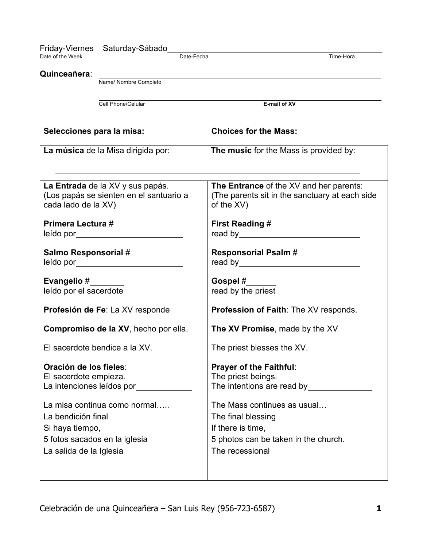| Friday-Viernes                | Saturday-Sábado                                                                                               |                                                |
|-------------------------------|---------------------------------------------------------------------------------------------------------------|------------------------------------------------|
| Date of the Week              |                                                                                                               | Date-Fecha<br>Time-Hora                        |
|                               |                                                                                                               |                                                |
| Quinceañera:                  | Name/ Nombre Completo                                                                                         |                                                |
|                               |                                                                                                               |                                                |
|                               |                                                                                                               |                                                |
|                               | Cell Phone/Celular                                                                                            | E-mail of XV                                   |
|                               |                                                                                                               |                                                |
| Selecciones para la misa:     |                                                                                                               | <b>Choices for the Mass:</b>                   |
|                               |                                                                                                               |                                                |
|                               | La música de la Misa dirigida por:                                                                            | The music for the Mass is provided by:         |
|                               |                                                                                                               |                                                |
|                               |                                                                                                               |                                                |
|                               | La Entrada de la XV y sus papás.                                                                              | The Entrance of the XV and her parents:        |
|                               | (Los papás se sienten en el santuario a                                                                       | (The parents sit in the sanctuary at each side |
| cada lado de la XV)           |                                                                                                               | of the XV)                                     |
|                               |                                                                                                               |                                                |
| Primera Lectura #_________    |                                                                                                               | First Reading #___________                     |
|                               |                                                                                                               |                                                |
|                               |                                                                                                               |                                                |
|                               | Salmo Responsorial #                                                                                          | <b>Responsorial Psalm #</b>                    |
|                               | leído por a contra contra contra contra contra contra contra contra contra contra contra contra contra contra |                                                |
|                               |                                                                                                               |                                                |
| Evangelio #                   |                                                                                                               | Gospel #                                       |
| leído por el sacerdote        |                                                                                                               | read by the priest                             |
|                               | Profesión de Fe: La XV responde                                                                               | <b>Profession of Faith: The XV responds.</b>   |
|                               |                                                                                                               |                                                |
|                               | Compromiso de la XV, hecho por ella.                                                                          | The XV Promise, made by the XV                 |
|                               |                                                                                                               |                                                |
|                               | El sacerdote bendice a la XV.                                                                                 | The priest blesses the XV.                     |
|                               |                                                                                                               |                                                |
| Oración de los fieles:        |                                                                                                               | <b>Prayer of the Faithful:</b>                 |
| El sacerdote empieza.         |                                                                                                               | The priest beings.                             |
|                               | La intenciones leídos por                                                                                     | The intentions are read by                     |
|                               |                                                                                                               |                                                |
|                               | La misa continua como normal                                                                                  | The Mass continues as usual                    |
| La bendición final            |                                                                                                               | The final blessing                             |
| Si haya tiempo,               |                                                                                                               | If there is time,                              |
| 5 fotos sacados en la iglesia |                                                                                                               | 5 photos can be taken in the church.           |
|                               |                                                                                                               | The recessional                                |
| La salida de la Iglesia       |                                                                                                               |                                                |
|                               |                                                                                                               |                                                |
|                               |                                                                                                               |                                                |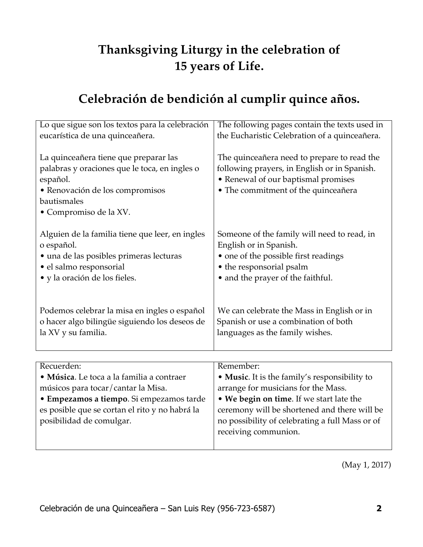# **Thanksgiving Liturgy in the celebration of 15 years of Life.**

# **Celebración de bendición al cumplir quince años.**

| Lo que sigue son los textos para la celebración                                                                                                                                                                         | The following pages contain the texts used in                                                                                                                                                                                                                            |
|-------------------------------------------------------------------------------------------------------------------------------------------------------------------------------------------------------------------------|--------------------------------------------------------------------------------------------------------------------------------------------------------------------------------------------------------------------------------------------------------------------------|
| eucarística de una quinceañera.                                                                                                                                                                                         | the Eucharistic Celebration of a quinceañera.                                                                                                                                                                                                                            |
| La quinceañera tiene que preparar las<br>palabras y oraciones que le toca, en ingles o<br>español.<br>· Renovación de los compromisos<br>bautismales<br>• Compromiso de la XV.                                          | The quinceañera need to prepare to read the<br>following prayers, in English or in Spanish.<br>• Renewal of our baptismal promises<br>• The commitment of the quinceañera                                                                                                |
| Alguien de la familia tiene que leer, en ingles                                                                                                                                                                         | Someone of the family will need to read, in                                                                                                                                                                                                                              |
| o español.                                                                                                                                                                                                              | English or in Spanish.                                                                                                                                                                                                                                                   |
| · una de las posibles primeras lecturas                                                                                                                                                                                 | • one of the possible first readings                                                                                                                                                                                                                                     |
| · el salmo responsorial                                                                                                                                                                                                 | • the responsorial psalm                                                                                                                                                                                                                                                 |
| · y la oración de los fieles.                                                                                                                                                                                           | • and the prayer of the faithful.                                                                                                                                                                                                                                        |
| Podemos celebrar la misa en ingles o español                                                                                                                                                                            | We can celebrate the Mass in English or in                                                                                                                                                                                                                               |
| o hacer algo bilingüe siguiendo los deseos de                                                                                                                                                                           | Spanish or use a combination of both                                                                                                                                                                                                                                     |
| la XV y su familia.                                                                                                                                                                                                     | languages as the family wishes.                                                                                                                                                                                                                                          |
|                                                                                                                                                                                                                         |                                                                                                                                                                                                                                                                          |
| Recuerden:<br>· Música. Le toca a la familia a contraer<br>músicos para tocar/cantar la Misa.<br>· Empezamos a tiempo. Si empezamos tarde<br>es posible que se cortan el rito y no habrá la<br>posibilidad de comulgar. | Remember:<br>• Music. It is the family's responsibility to<br>arrange for musicians for the Mass.<br>• We begin on time. If we start late the<br>ceremony will be shortened and there will be<br>no possibility of celebrating a full Mass or of<br>receiving communion. |

(May 1, 2017)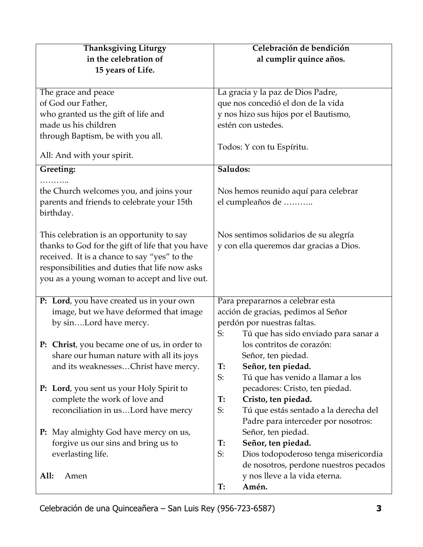| <b>Thanksgiving Liturgy</b>                         | Celebración de bendición                    |
|-----------------------------------------------------|---------------------------------------------|
| in the celebration of                               | al cumplir quince años.                     |
| 15 years of Life.                                   |                                             |
|                                                     |                                             |
| The grace and peace                                 | La gracia y la paz de Dios Padre,           |
| of God our Father,                                  | que nos concedió el don de la vida          |
| who granted us the gift of life and                 | y nos hizo sus hijos por el Bautismo,       |
| made us his children                                | estén con ustedes.                          |
| through Baptism, be with you all.                   |                                             |
|                                                     | Todos: Y con tu Espíritu.                   |
| All: And with your spirit.                          |                                             |
| Greeting:                                           | Saludos:                                    |
|                                                     |                                             |
| the Church welcomes you, and joins your             | Nos hemos reunido aquí para celebrar        |
| parents and friends to celebrate your 15th          | el cumpleaños de                            |
| birthday.                                           |                                             |
|                                                     |                                             |
| This celebration is an opportunity to say           | Nos sentimos solidarios de su alegría       |
| thanks to God for the gift of life that you have    | y con ella queremos dar gracias a Dios.     |
| received. It is a chance to say "yes" to the        |                                             |
| responsibilities and duties that life now asks      |                                             |
| you as a young woman to accept and live out.        |                                             |
|                                                     |                                             |
| P: Lord, you have created us in your own            | Para prepararnos a celebrar esta            |
| image, but we have deformed that image              | acción de gracias, pedimos al Señor         |
| by sinLord have mercy.                              | perdón por nuestras faltas.                 |
|                                                     | S:<br>Tú que has sido enviado para sanar a  |
| <b>P:</b> Christ, you became one of us, in order to | los contritos de corazón:                   |
| share our human nature with all its joys            | Señor, ten piedad.                          |
| and its weaknessesChrist have mercy.                | Señor, ten piedad.<br>T:                    |
|                                                     | Tú que has venido a llamar a los<br>S:      |
| P: Lord, you sent us your Holy Spirit to            | pecadores: Cristo, ten piedad.              |
| complete the work of love and                       | Cristo, ten piedad.<br>T:                   |
| reconciliation in usLord have mercy                 | S:<br>Tú que estás sentado a la derecha del |
|                                                     | Padre para interceder por nosotros:         |
| <b>P:</b> May almighty God have mercy on us,        | Señor, ten piedad.                          |
| forgive us our sins and bring us to                 | Señor, ten piedad.<br>T:                    |
| everlasting life.                                   | S:<br>Dios todopoderoso tenga misericordia  |
|                                                     | de nosotros, perdone nuestros pecados       |
| All:<br>Amen                                        | y nos lleve a la vida eterna.               |
|                                                     | Amén.<br>T:                                 |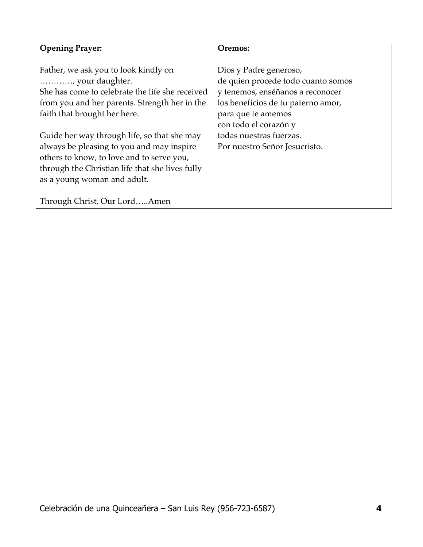| <b>Opening Prayer:</b>                          | Oremos:                            |
|-------------------------------------------------|------------------------------------|
|                                                 |                                    |
| Father, we ask you to look kindly on            | Dios y Padre generoso,             |
| , your daughter.                                | de quien procede todo cuanto somos |
| She has come to celebrate the life she received | y tenemos, enséñanos a reconocer   |
| from you and her parents. Strength her in the   | los beneficios de tu paterno amor, |
| faith that brought her here.                    | para que te amemos                 |
|                                                 | con todo el corazón y              |
| Guide her way through life, so that she may     | todas nuestras fuerzas.            |
| always be pleasing to you and may inspire       | Por nuestro Señor Jesucristo.      |
| others to know, to love and to serve you,       |                                    |
| through the Christian life that she lives fully |                                    |
| as a young woman and adult.                     |                                    |
|                                                 |                                    |
| Through Christ, Our LordAmen                    |                                    |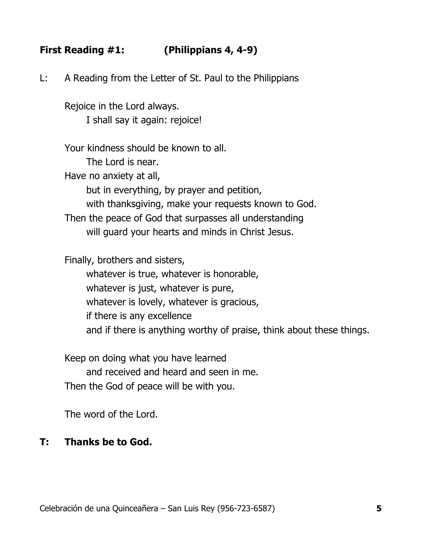# **First Reading #1: (Philippians 4, 4-9)**

L: A Reading from the Letter of St. Paul to the Philippians

Rejoice in the Lord always. I shall say it again: rejoice!

Your kindness should be known to all. The Lord is near. Have no anxiety at all, but in everything, by prayer and petition, with thanksgiving, make your requests known to God. Then the peace of God that surpasses all understanding will guard your hearts and minds in Christ Jesus.

Finally, brothers and sisters,

whatever is true, whatever is honorable, whatever is just, whatever is pure, whatever is lovely, whatever is gracious, if there is any excellence and if there is anything worthy of praise, think about these things.

Keep on doing what you have learned and received and heard and seen in me. Then the God of peace will be with you.

The word of the Lord.

#### **T: Thanks be to God.**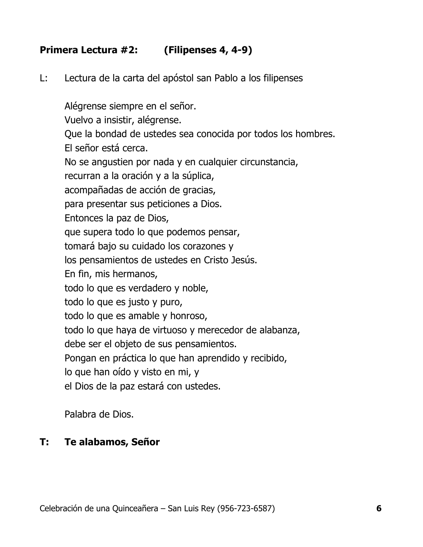# **Primera Lectura #2: (Filipenses 4, 4-9)**

L: Lectura de la carta del apóstol san Pablo a los filipenses

Alégrense siempre en el señor. Vuelvo a insistir, alégrense. Que la bondad de ustedes sea conocida por todos los hombres. El señor está cerca. No se angustien por nada y en cualquier circunstancia, recurran a la oración y a la súplica, acompañadas de acción de gracias, para presentar sus peticiones a Dios. Entonces la paz de Dios, que supera todo lo que podemos pensar, tomará bajo su cuidado los corazones y los pensamientos de ustedes en Cristo Jesús. En fin, mis hermanos, todo lo que es verdadero y noble, todo lo que es justo y puro, todo lo que es amable y honroso, todo lo que haya de virtuoso y merecedor de alabanza, debe ser el objeto de sus pensamientos. Pongan en práctica lo que han aprendido y recibido, lo que han oído y visto en mi, y el Dios de la paz estará con ustedes.

Palabra de Dios.

# **T: Te alabamos, Señor**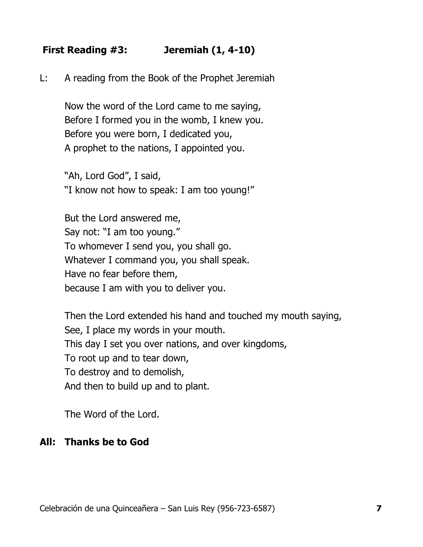# **First Reading #3: Jeremiah (1, 4-10)**

L: A reading from the Book of the Prophet Jeremiah

Now the word of the Lord came to me saying, Before I formed you in the womb, I knew you. Before you were born, I dedicated you, A prophet to the nations, I appointed you.

"Ah, Lord God", I said, "I know not how to speak: I am too young!"

But the Lord answered me, Say not: "I am too young." To whomever I send you, you shall go. Whatever I command you, you shall speak. Have no fear before them, because I am with you to deliver you.

Then the Lord extended his hand and touched my mouth saying, See, I place my words in your mouth. This day I set you over nations, and over kingdoms, To root up and to tear down, To destroy and to demolish, And then to build up and to plant.

The Word of the Lord.

#### **All: Thanks be to God**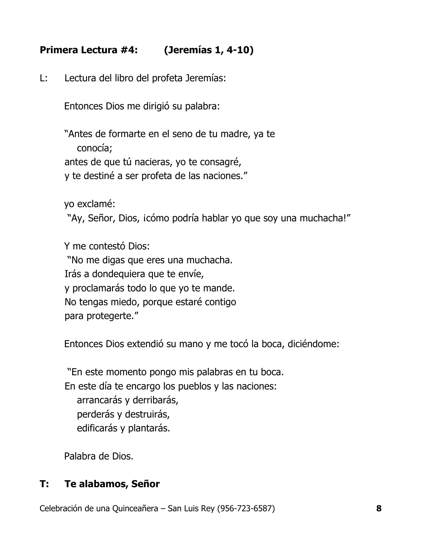# **Primera Lectura #4: (Jeremías 1, 4-10)**

L: Lectura del libro del profeta Jeremías:

Entonces Dios me dirigió su palabra:

"Antes de formarte en el seno de tu madre, ya te conocía; antes de que tú nacieras, yo te consagré, y te destiné a ser profeta de las naciones."

yo exclamé: "Ay, Señor, Dios, icómo podría hablar yo que soy una muchacha!"

Y me contestó Dios: "No me digas que eres una muchacha. Irás a dondequiera que te envíe, y proclamarás todo lo que yo te mande. No tengas miedo, porque estaré contigo para protegerte."

Entonces Dios extendió su mano y me tocó la boca, diciéndome:

"En este momento pongo mis palabras en tu boca. En este día te encargo los pueblos y las naciones: arrancarás y derribarás, perderás y destruirás, edificarás y plantarás.

Palabra de Dios.

# **T: Te alabamos, Señor**

Celebración de una Quinceañera – San Luis Rey (956-723-6587) **8**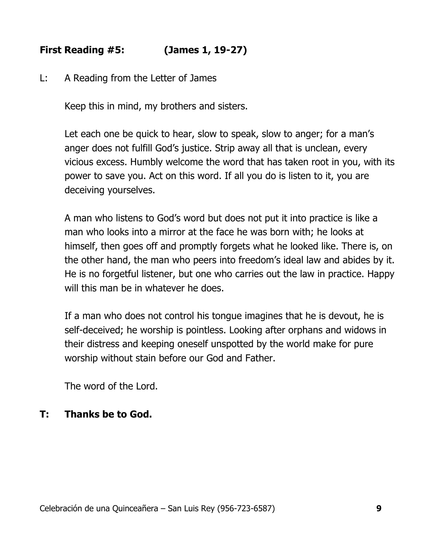# **First Reading #5: (James 1, 19-27)**

L: A Reading from the Letter of James

Keep this in mind, my brothers and sisters.

Let each one be quick to hear, slow to speak, slow to anger; for a man's anger does not fulfill God's justice. Strip away all that is unclean, every vicious excess. Humbly welcome the word that has taken root in you, with its power to save you. Act on this word. If all you do is listen to it, you are deceiving yourselves.

A man who listens to God's word but does not put it into practice is like a man who looks into a mirror at the face he was born with; he looks at himself, then goes off and promptly forgets what he looked like. There is, on the other hand, the man who peers into freedom's ideal law and abides by it. He is no forgetful listener, but one who carries out the law in practice. Happy will this man be in whatever he does.

If a man who does not control his tongue imagines that he is devout, he is self-deceived; he worship is pointless. Looking after orphans and widows in their distress and keeping oneself unspotted by the world make for pure worship without stain before our God and Father.

The word of the Lord.

# **T: Thanks be to God.**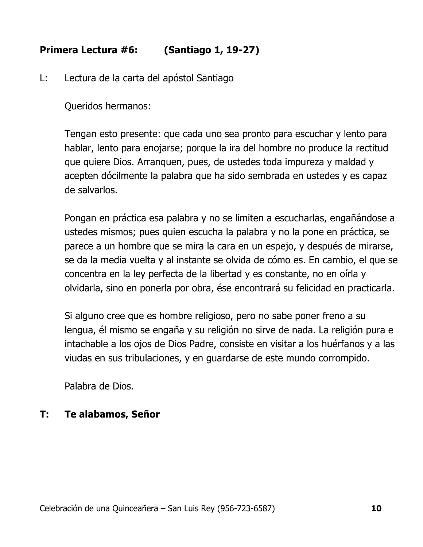# **Primera Lectura #6: (Santiago 1, 19-27)**

L: Lectura de la carta del apóstol Santiago

Queridos hermanos:

Tengan esto presente: que cada uno sea pronto para escuchar y lento para hablar, lento para enojarse; porque la ira del hombre no produce la rectitud que quiere Dios. Arranquen, pues, de ustedes toda impureza y maldad y acepten dócilmente la palabra que ha sido sembrada en ustedes y es capaz de salvarlos.

Pongan en práctica esa palabra y no se limiten a escucharlas, engañándose a ustedes mismos; pues quien escucha la palabra y no la pone en práctica, se parece a un hombre que se mira la cara en un espejo, y después de mirarse, se da la media vuelta y al instante se olvida de cómo es. En cambio, el que se concentra en la ley perfecta de la libertad y es constante, no en oírla y olvidarla, sino en ponerla por obra, ése encontrará su felicidad en practicarla.

Si alguno cree que es hombre religioso, pero no sabe poner freno a su lengua, él mismo se engaña y su religión no sirve de nada. La religión pura e intachable a los ojos de Dios Padre, consiste en visitar a los huérfanos y a las viudas en sus tribulaciones, y en guardarse de este mundo corrompido.

Palabra de Dios.

# **T: Te alabamos, Señor**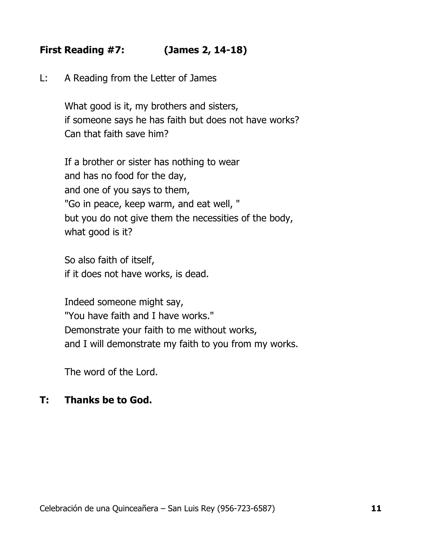# **First Reading #7: (James 2, 14-18)**

L: A Reading from the Letter of James

What good is it, my brothers and sisters, if someone says he has faith but does not have works? Can that faith save him?

If a brother or sister has nothing to wear and has no food for the day, and one of you says to them, "Go in peace, keep warm, and eat well, " but you do not give them the necessities of the body, what good is it?

So also faith of itself, if it does not have works, is dead.

Indeed someone might say, "You have faith and I have works." Demonstrate your faith to me without works, and I will demonstrate my faith to you from my works.

The word of the Lord.

#### **T: Thanks be to God.**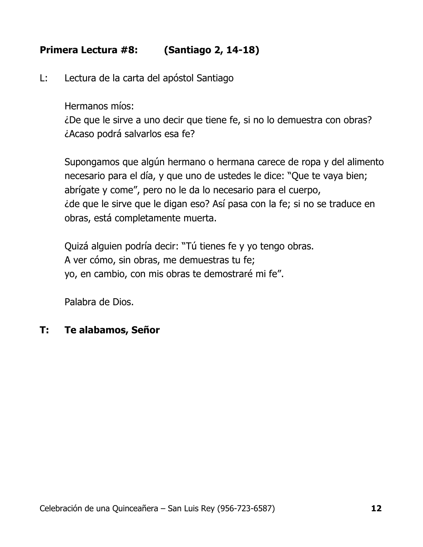# **Primera Lectura #8: (Santiago 2, 14-18)**

L: Lectura de la carta del apóstol Santiago

Hermanos míos:

¿De que le sirve a uno decir que tiene fe, si no lo demuestra con obras? ¿Acaso podrá salvarlos esa fe?

Supongamos que algún hermano o hermana carece de ropa y del alimento necesario para el día, y que uno de ustedes le dice: "Que te vaya bien; abrígate y come", pero no le da lo necesario para el cuerpo, ¿de que le sirve que le digan eso? Así pasa con la fe; si no se traduce en obras, está completamente muerta.

Quizá alguien podría decir: "Tú tienes fe y yo tengo obras. A ver cómo, sin obras, me demuestras tu fe; yo, en cambio, con mis obras te demostraré mi fe".

Palabra de Dios.

# **T: Te alabamos, Señor**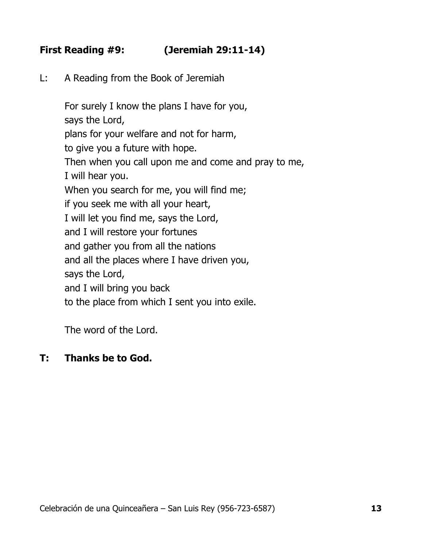# **First Reading #9: (Jeremiah 29:11-14)**

L: A Reading from the Book of Jeremiah

For surely I know the plans I have for you, says the Lord, plans for your welfare and not for harm, to give you a future with hope. Then when you call upon me and come and pray to me, I will hear you. When you search for me, you will find me; if you seek me with all your heart, I will let you find me, says the Lord, and I will restore your fortunes and gather you from all the nations and all the places where I have driven you, says the Lord, and I will bring you back to the place from which I sent you into exile.

The word of the Lord.

# **T: Thanks be to God.**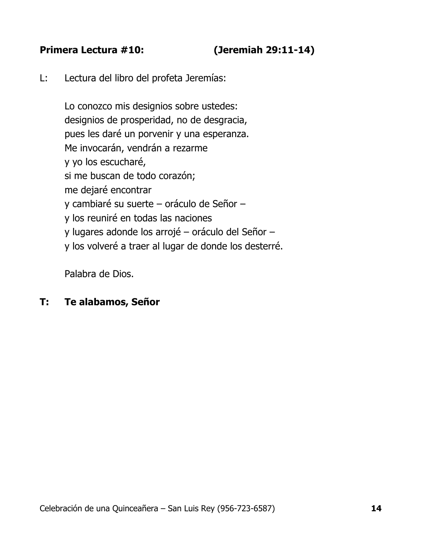#### **Primera Lectura #10: (Jeremiah 29:11-14)**

L: Lectura del libro del profeta Jeremías:

Lo conozco mis designios sobre ustedes: designios de prosperidad, no de desgracia, pues les daré un porvenir y una esperanza. Me invocarán, vendrán a rezarme y yo los escucharé, si me buscan de todo corazón; me dejaré encontrar y cambiaré su suerte – oráculo de Señor – y los reuniré en todas las naciones y lugares adonde los arrojé – oráculo del Señor – y los volveré a traer al lugar de donde los desterré.

Palabra de Dios.

#### **T: Te alabamos, Señor**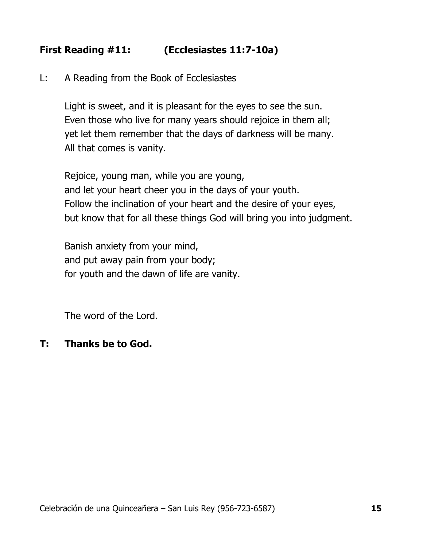# **First Reading #11: (Ecclesiastes 11:7-10a)**

L: A Reading from the Book of Ecclesiastes

Light is sweet, and it is pleasant for the eyes to see the sun. Even those who live for many years should rejoice in them all; yet let them remember that the days of darkness will be many. All that comes is vanity.

Rejoice, young man, while you are young, and let your heart cheer you in the days of your youth. Follow the inclination of your heart and the desire of your eyes, but know that for all these things God will bring you into judgment.

Banish anxiety from your mind, and put away pain from your body; for youth and the dawn of life are vanity.

The word of the Lord.

#### **T: Thanks be to God.**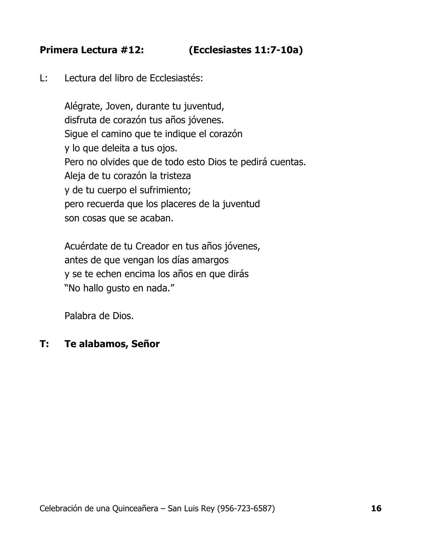# **Primera Lectura #12: (Ecclesiastes 11:7-10a)**

L: Lectura del libro de Ecclesiastés:

Alégrate, Joven, durante tu juventud, disfruta de corazón tus años jóvenes. Sigue el camino que te indique el corazón y lo que deleita a tus ojos. Pero no olvides que de todo esto Dios te pedirá cuentas. Aleja de tu corazón la tristeza y de tu cuerpo el sufrimiento; pero recuerda que los placeres de la juventud son cosas que se acaban.

Acuérdate de tu Creador en tus años jóvenes, antes de que vengan los días amargos y se te echen encima los años en que dirás "No hallo gusto en nada."

Palabra de Dios.

#### **T: Te alabamos, Señor**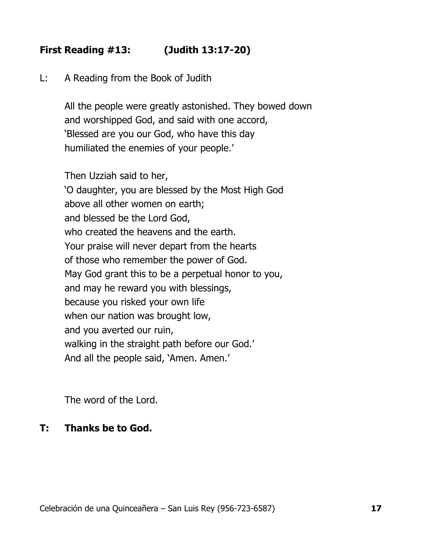# **First Reading #13: (Judith 13:17-20)**

L: A Reading from the Book of Judith

All the people were greatly astonished. They bowed down and worshipped God, and said with one accord, 'Blessed are you our God, who have this day humiliated the enemies of your people.'

Then Uzziah said to her, 'O daughter, you are blessed by the Most High God above all other women on earth; and blessed be the Lord God, who created the heavens and the earth. Your praise will never depart from the hearts of those who remember the power of God. May God grant this to be a perpetual honor to you, and may he reward you with blessings, because you risked your own life when our nation was brought low, and you averted our ruin, walking in the straight path before our God.' And all the people said, 'Amen. Amen.'

The word of the Lord.

#### **T: Thanks be to God.**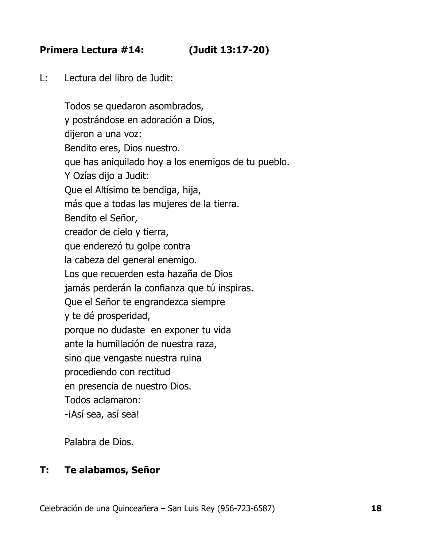# **Primera Lectura #14: (Judit 13:17-20)**

L: Lectura del libro de Judit:

Todos se quedaron asombrados, y postrándose en adoración a Dios, dijeron a una voz: Bendito eres, Dios nuestro. que has aniquilado hoy a los enemigos de tu pueblo. Y Ozías dijo a Judit: Que el Altísimo te bendiga, hija, más que a todas las mujeres de la tierra. Bendito el Señor, creador de cielo y tierra, que enderezó tu golpe contra la cabeza del general enemigo. Los que recuerden esta hazaña de Dios jamás perderán la confianza que tú inspiras. Que el Señor te engrandezca siempre y te dé prosperidad, porque no dudaste en exponer tu vida ante la humillación de nuestra raza, sino que vengaste nuestra ruina procediendo con rectitud en presencia de nuestro Dios. Todos aclamaron: -iAsí sea, así sea!

Palabra de Dios.

# **T: Te alabamos, Señor**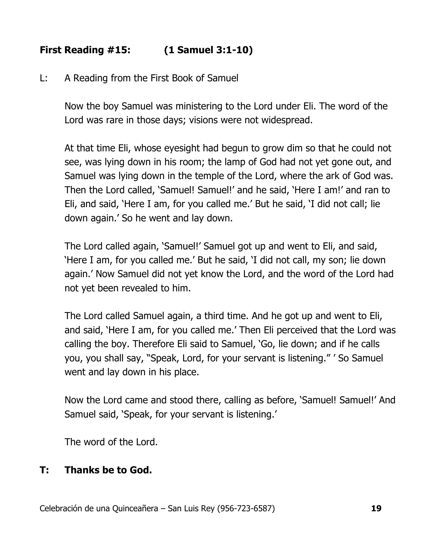# **First Reading #15: (1 Samuel 3:1-10)**

L: A Reading from the First Book of Samuel

Now the boy Samuel was ministering to the Lord under Eli. The word of the Lord was rare in those days; visions were not widespread.

At that time Eli, whose eyesight had begun to grow dim so that he could not see, was lying down in his room; the lamp of God had not yet gone out, and Samuel was lying down in the temple of the Lord, where the ark of God was. Then the Lord called, 'Samuel! Samuel!' and he said, 'Here I am!' and ran to Eli, and said, 'Here I am, for you called me.' But he said, 'I did not call; lie down again.' So he went and lay down.

The Lord called again, 'Samuel!' Samuel got up and went to Eli, and said, 'Here I am, for you called me.' But he said, 'I did not call, my son; lie down again.' Now Samuel did not yet know the Lord, and the word of the Lord had not yet been revealed to him.

The Lord called Samuel again, a third time. And he got up and went to Eli, and said, 'Here I am, for you called me.' Then Eli perceived that the Lord was calling the boy. Therefore Eli said to Samuel, 'Go, lie down; and if he calls you, you shall say, "Speak, Lord, for your servant is listening." ' So Samuel went and lay down in his place.

Now the Lord came and stood there, calling as before, 'Samuel! Samuel!' And Samuel said, 'Speak, for your servant is listening.'

The word of the Lord.

# **T: Thanks be to God.**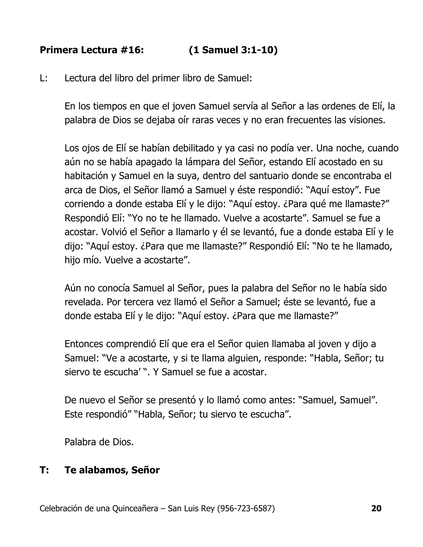# **Primera Lectura #16: (1 Samuel 3:1-10)**

L: Lectura del libro del primer libro de Samuel:

En los tiempos en que el joven Samuel servía al Señor a las ordenes de Elí, la palabra de Dios se dejaba oír raras veces y no eran frecuentes las visiones.

Los ojos de Elí se habían debilitado y ya casi no podía ver. Una noche, cuando aún no se había apagado la lámpara del Señor, estando Elí acostado en su habitación y Samuel en la suya, dentro del santuario donde se encontraba el arca de Dios, el Señor llamó a Samuel y éste respondió: "Aquí estoy". Fue corriendo a donde estaba Elí y le dijo: "Aquí estoy. ¿Para qué me llamaste?" Respondió Elí: "Yo no te he llamado. Vuelve a acostarte". Samuel se fue a acostar. Volvió el Señor a llamarlo y él se levantó, fue a donde estaba Elí y le dijo: "Aquí estoy. ¿Para que me llamaste?" Respondió Elí: "No te he llamado, hijo mío. Vuelve a acostarte".

Aún no conocía Samuel al Señor, pues la palabra del Señor no le había sido revelada. Por tercera vez llamó el Señor a Samuel; éste se levantó, fue a donde estaba Elí y le dijo: "Aquí estoy. ¿Para que me llamaste?"

Entonces comprendió Elí que era el Señor quien llamaba al joven y dijo a Samuel: "Ve a acostarte, y si te llama alguien, responde: "Habla, Señor; tu siervo te escucha' ". Y Samuel se fue a acostar.

De nuevo el Señor se presentó y lo llamó como antes: "Samuel, Samuel". Este respondió" "Habla, Señor; tu siervo te escucha".

Palabra de Dios.

# **T: Te alabamos, Señor**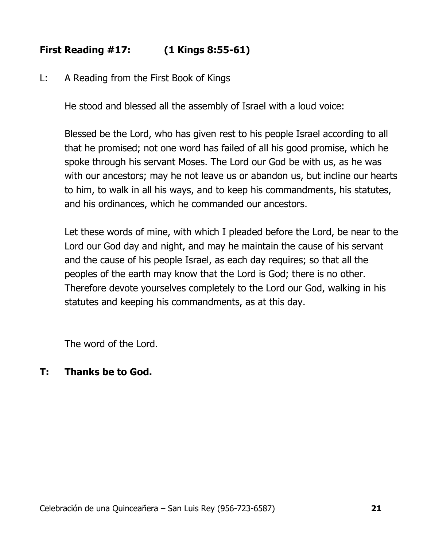# **First Reading #17: (1 Kings 8:55-61)**

L: A Reading from the First Book of Kings

He stood and blessed all the assembly of Israel with a loud voice:

Blessed be the Lord, who has given rest to his people Israel according to all that he promised; not one word has failed of all his good promise, which he spoke through his servant Moses. The Lord our God be with us, as he was with our ancestors; may he not leave us or abandon us, but incline our hearts to him, to walk in all his ways, and to keep his commandments, his statutes, and his ordinances, which he commanded our ancestors.

Let these words of mine, with which I pleaded before the Lord, be near to the Lord our God day and night, and may he maintain the cause of his servant and the cause of his people Israel, as each day requires; so that all the peoples of the earth may know that the Lord is God; there is no other. Therefore devote yourselves completely to the Lord our God, walking in his statutes and keeping his commandments, as at this day.

The word of the Lord.

# **T: Thanks be to God.**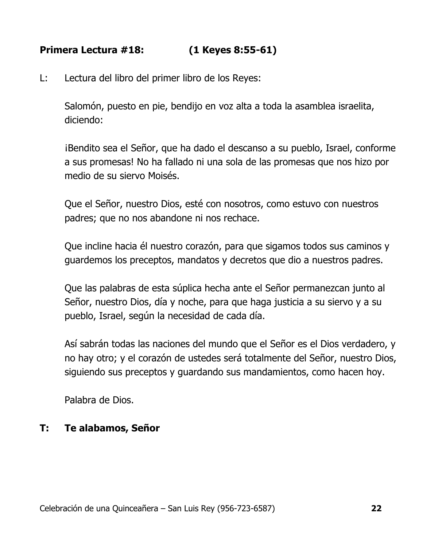# **Primera Lectura #18: (1 Keyes 8:55-61)**

L: Lectura del libro del primer libro de los Reyes:

Salomón, puesto en pie, bendijo en voz alta a toda la asamblea israelita, diciendo:

¡Bendito sea el Señor, que ha dado el descanso a su pueblo, Israel, conforme a sus promesas! No ha fallado ni una sola de las promesas que nos hizo por medio de su siervo Moisés.

Que el Señor, nuestro Dios, esté con nosotros, como estuvo con nuestros padres; que no nos abandone ni nos rechace.

Que incline hacia él nuestro corazón, para que sigamos todos sus caminos y guardemos los preceptos, mandatos y decretos que dio a nuestros padres.

Que las palabras de esta súplica hecha ante el Señor permanezcan junto al Señor, nuestro Dios, día y noche, para que haga justicia a su siervo y a su pueblo, Israel, según la necesidad de cada día.

Así sabrán todas las naciones del mundo que el Señor es el Dios verdadero, y no hay otro; y el corazón de ustedes será totalmente del Señor, nuestro Dios, siguiendo sus preceptos y guardando sus mandamientos, como hacen hoy.

Palabra de Dios.

# **T: Te alabamos, Señor**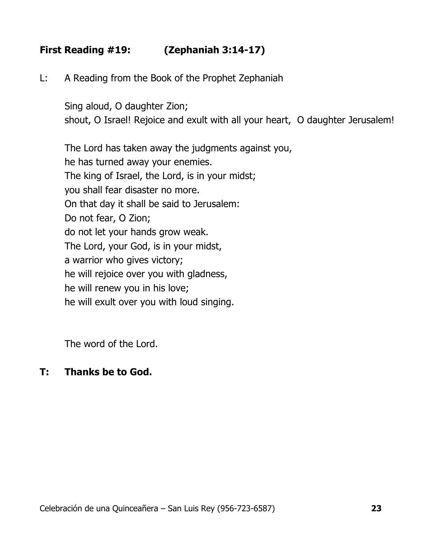# **First Reading #19: (Zephaniah 3:14-17)**

L: A Reading from the Book of the Prophet Zephaniah

Sing aloud, O daughter Zion; shout, O Israel! Rejoice and exult with all your heart, O daughter Jerusalem!

The Lord has taken away the judgments against you, he has turned away your enemies. The king of Israel, the Lord, is in your midst; you shall fear disaster no more. On that day it shall be said to Jerusalem: Do not fear, O Zion; do not let your hands grow weak. The Lord, your God, is in your midst, a warrior who gives victory; he will rejoice over you with gladness, he will renew you in his love; he will exult over you with loud singing.

The word of the Lord.

#### **T: Thanks be to God.**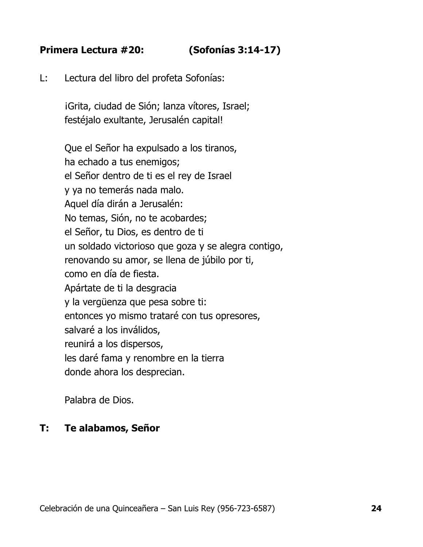# **Primera Lectura #20: (Sofonías 3:14-17)**

L: Lectura del libro del profeta Sofonías:

iGrita, ciudad de Sión; lanza vítores, Israel; festéjalo exultante, Jerusalén capital!

Que el Señor ha expulsado a los tiranos, ha echado a tus enemigos; el Señor dentro de ti es el rey de Israel y ya no temerás nada malo. Aquel día dirán a Jerusalén: No temas, Sión, no te acobardes; el Señor, tu Dios, es dentro de ti un soldado victorioso que goza y se alegra contigo, renovando su amor, se llena de júbilo por ti, como en día de fiesta. Apártate de ti la desgracia y la vergüenza que pesa sobre ti: entonces yo mismo trataré con tus opresores, salvaré a los inválidos, reunirá a los dispersos, les daré fama y renombre en la tierra donde ahora los desprecian.

Palabra de Dios.

#### **T: Te alabamos, Señor**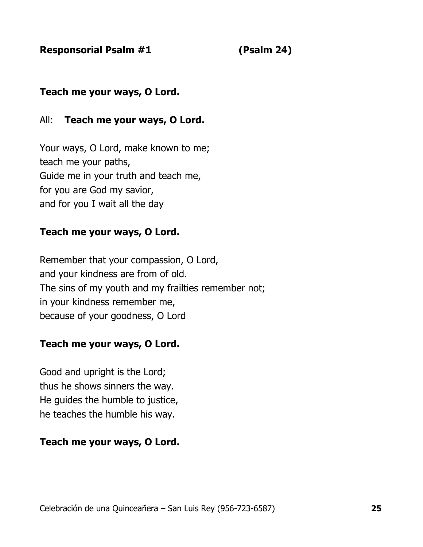**Responsorial Psalm #1 (Psalm 24)**

# **Teach me your ways, O Lord.**

#### All: **Teach me your ways, O Lord.**

Your ways, O Lord, make known to me; teach me your paths, Guide me in your truth and teach me, for you are God my savior, and for you I wait all the day

#### **Teach me your ways, O Lord.**

Remember that your compassion, O Lord, and your kindness are from of old. The sins of my youth and my frailties remember not; in your kindness remember me, because of your goodness, O Lord

#### **Teach me your ways, O Lord.**

Good and upright is the Lord; thus he shows sinners the way. He guides the humble to justice, he teaches the humble his way.

# **Teach me your ways, O Lord.**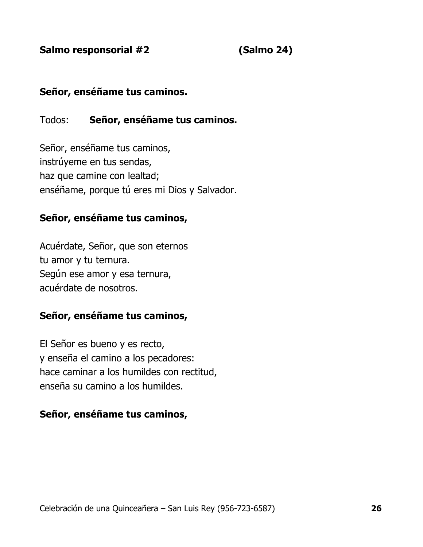**Salmo responsorial #2 (Salmo 24)**

# **Señor, enséñame tus caminos.**

#### Todos: **Señor, enséñame tus caminos.**

Señor, enséñame tus caminos, instrúyeme en tus sendas, haz que camine con lealtad; enséñame, porque tú eres mi Dios y Salvador.

#### **Señor, enséñame tus caminos,**

Acuérdate, Señor, que son eternos tu amor y tu ternura. Según ese amor y esa ternura, acuérdate de nosotros.

#### **Señor, enséñame tus caminos,**

El Señor es bueno y es recto, y enseña el camino a los pecadores: hace caminar a los humildes con rectitud, enseña su camino a los humildes.

#### **Señor, enséñame tus caminos,**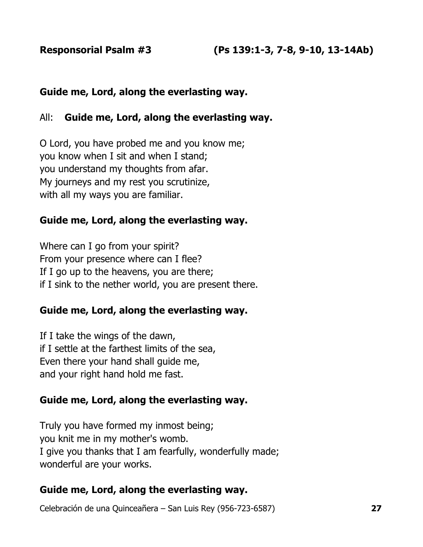#### **Guide me, Lord, along the everlasting way.**

#### All: **Guide me, Lord, along the everlasting way.**

O Lord, you have probed me and you know me; you know when I sit and when I stand; you understand my thoughts from afar. My journeys and my rest you scrutinize, with all my ways you are familiar.

#### **Guide me, Lord, along the everlasting way.**

Where can I go from your spirit? From your presence where can I flee? If I go up to the heavens, you are there; if I sink to the nether world, you are present there.

# **Guide me, Lord, along the everlasting way.**

If I take the wings of the dawn, if I settle at the farthest limits of the sea, Even there your hand shall guide me, and your right hand hold me fast.

#### **Guide me, Lord, along the everlasting way.**

Truly you have formed my inmost being; you knit me in my mother's womb. I give you thanks that I am fearfully, wonderfully made; wonderful are your works.

#### **Guide me, Lord, along the everlasting way.**

Celebración de una Quinceañera – San Luis Rey (956-723-6587) **27**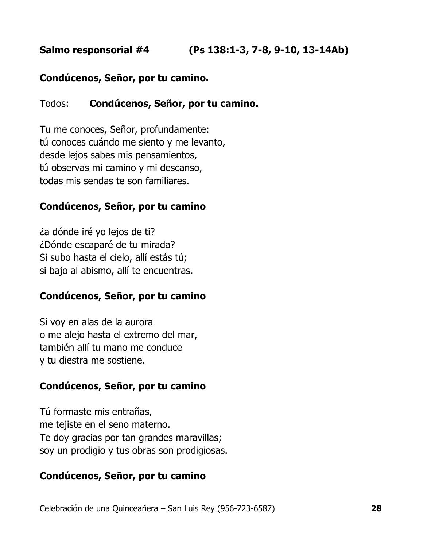# **Salmo responsorial #4 (Ps 138:1-3, 7-8, 9-10, 13-14Ab)**

#### **Condúcenos, Señor, por tu camino.**

#### Todos: **Condúcenos, Señor, por tu camino.**

Tu me conoces, Señor, profundamente: tú conoces cuándo me siento y me levanto, desde lejos sabes mis pensamientos, tú observas mi camino y mi descanso, todas mis sendas te son familiares.

#### **Condúcenos, Señor, por tu camino**

¿a dónde iré yo lejos de ti? ¿Dónde escaparé de tu mirada? Si subo hasta el cielo, allí estás tú; si bajo al abismo, allí te encuentras.

#### **Condúcenos, Señor, por tu camino**

Si voy en alas de la aurora o me alejo hasta el extremo del mar, también allí tu mano me conduce y tu diestra me sostiene.

#### **Condúcenos, Señor, por tu camino**

Tú formaste mis entrañas, me tejiste en el seno materno. Te doy gracias por tan grandes maravillas; soy un prodigio y tus obras son prodigiosas.

#### **Condúcenos, Señor, por tu camino**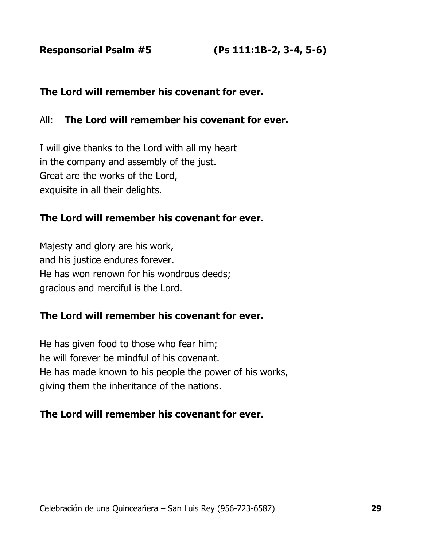**Responsorial Psalm #5 (Ps 111:1B-2, 3-4, 5-6)** 

#### **The Lord will remember his covenant for ever.**

#### All: **The Lord will remember his covenant for ever.**

I will give thanks to the Lord with all my heart in the company and assembly of the just. Great are the works of the Lord, exquisite in all their delights.

#### **The Lord will remember his covenant for ever.**

Majesty and glory are his work, and his justice endures forever. He has won renown for his wondrous deeds; gracious and merciful is the Lord.

#### **The Lord will remember his covenant for ever.**

He has given food to those who fear him; he will forever be mindful of his covenant. He has made known to his people the power of his works, giving them the inheritance of the nations.

#### **The Lord will remember his covenant for ever.**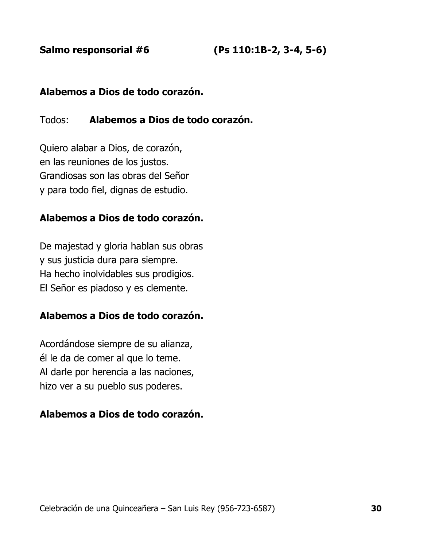**Salmo responsorial #6 (Ps 110:1B-2, 3-4, 5-6)**

#### **Alabemos a Dios de todo corazón.**

#### Todos: **Alabemos a Dios de todo corazón.**

Quiero alabar a Dios, de corazón, en las reuniones de los justos. Grandiosas son las obras del Señor y para todo fiel, dignas de estudio.

#### **Alabemos a Dios de todo corazón.**

De majestad y gloria hablan sus obras y sus justicia dura para siempre. Ha hecho inolvidables sus prodigios. El Señor es piadoso y es clemente.

#### **Alabemos a Dios de todo corazón.**

Acordándose siempre de su alianza, él le da de comer al que lo teme. Al darle por herencia a las naciones, hizo ver a su pueblo sus poderes.

#### **Alabemos a Dios de todo corazón.**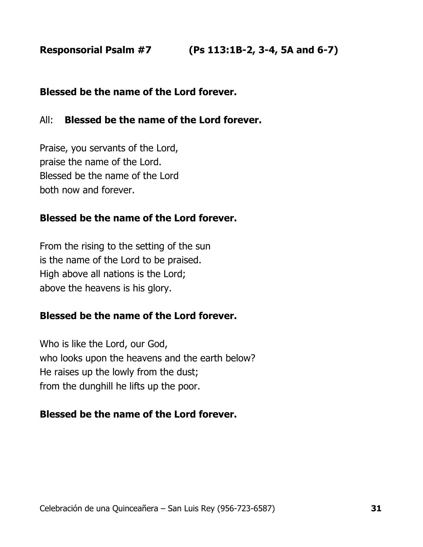#### **Blessed be the name of the Lord forever.**

#### All: **Blessed be the name of the Lord forever.**

Praise, you servants of the Lord, praise the name of the Lord. Blessed be the name of the Lord both now and forever.

#### **Blessed be the name of the Lord forever.**

From the rising to the setting of the sun is the name of the Lord to be praised. High above all nations is the Lord; above the heavens is his glory.

#### **Blessed be the name of the Lord forever.**

Who is like the Lord, our God, who looks upon the heavens and the earth below? He raises up the lowly from the dust; from the dunghill he lifts up the poor.

#### **Blessed be the name of the Lord forever.**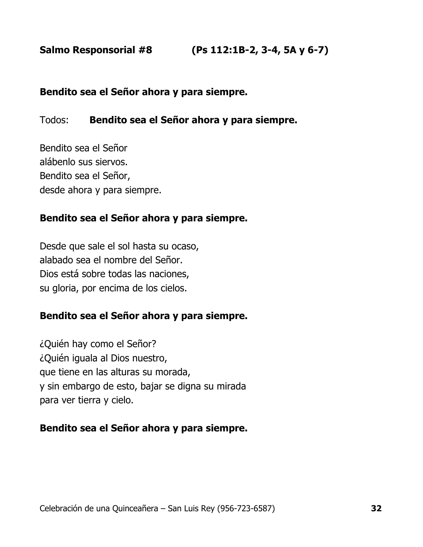#### **Bendito sea el Señor ahora y para siempre.**

#### Todos: **Bendito sea el Señor ahora y para siempre.**

Bendito sea el Señor alábenlo sus siervos. Bendito sea el Señor, desde ahora y para siempre.

#### **Bendito sea el Señor ahora y para siempre.**

Desde que sale el sol hasta su ocaso, alabado sea el nombre del Señor. Dios está sobre todas las naciones, su gloria, por encima de los cielos.

#### **Bendito sea el Señor ahora y para siempre.**

¿Quién hay como el Señor? ¿Quién iguala al Dios nuestro, que tiene en las alturas su morada, y sin embargo de esto, bajar se digna su mirada para ver tierra y cielo.

#### **Bendito sea el Señor ahora y para siempre.**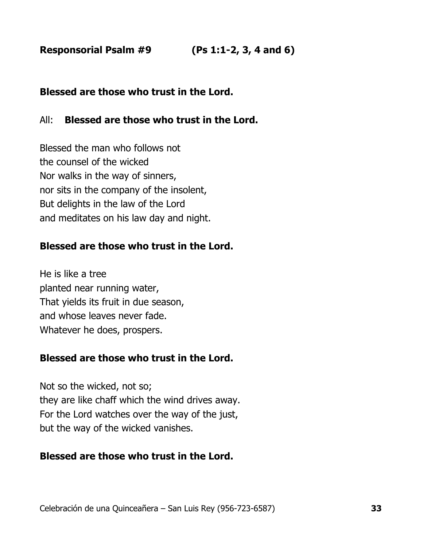**Responsorial Psalm #9 (Ps 1:1-2, 3, 4 and 6)**

# **Blessed are those who trust in the Lord.**

#### All: **Blessed are those who trust in the Lord.**

Blessed the man who follows not the counsel of the wicked Nor walks in the way of sinners, nor sits in the company of the insolent, But delights in the law of the Lord and meditates on his law day and night.

#### **Blessed are those who trust in the Lord.**

He is like a tree planted near running water, That yields its fruit in due season, and whose leaves never fade. Whatever he does, prospers.

# **Blessed are those who trust in the Lord.**

Not so the wicked, not so; they are like chaff which the wind drives away. For the Lord watches over the way of the just, but the way of the wicked vanishes.

# **Blessed are those who trust in the Lord.**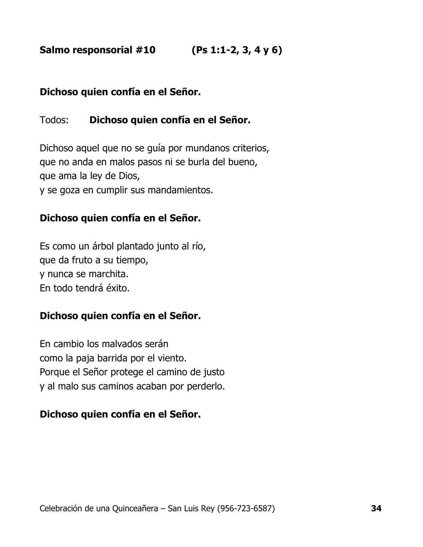**Salmo responsorial #10 (Ps 1:1-2, 3, 4 y 6)**

# **Dichoso quien confía en el Señor.**

# Todos: **Dichoso quien confía en el Señor.**

Dichoso aquel que no se guía por mundanos criterios, que no anda en malos pasos ni se burla del bueno, que ama la ley de Dios, y se goza en cumplir sus mandamientos.

#### **Dichoso quien confía en el Señor.**

Es como un árbol plantado junto al río, que da fruto a su tiempo, y nunca se marchita. En todo tendrá éxito.

# **Dichoso quien confía en el Señor.**

En cambio los malvados serán como la paja barrida por el viento. Porque el Señor protege el camino de justo y al malo sus caminos acaban por perderlo.

# **Dichoso quien confía en el Señor.**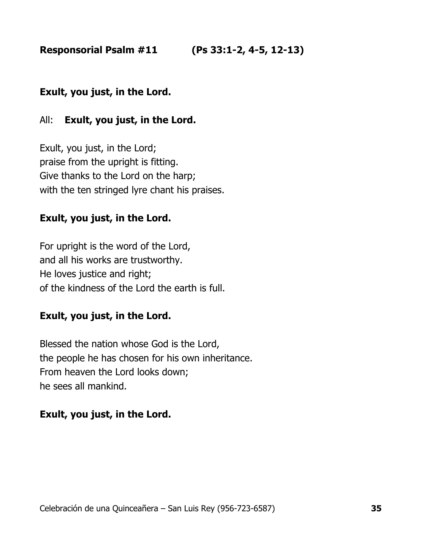**Responsorial Psalm #11 (Ps 33:1-2, 4-5, 12-13)**

# **Exult, you just, in the Lord.**

#### All: **Exult, you just, in the Lord.**

Exult, you just, in the Lord; praise from the upright is fitting. Give thanks to the Lord on the harp; with the ten stringed lyre chant his praises.

# **Exult, you just, in the Lord.**

For upright is the word of the Lord, and all his works are trustworthy. He loves justice and right; of the kindness of the Lord the earth is full.

#### **Exult, you just, in the Lord.**

Blessed the nation whose God is the Lord, the people he has chosen for his own inheritance. From heaven the Lord looks down; he sees all mankind.

#### **Exult, you just, in the Lord.**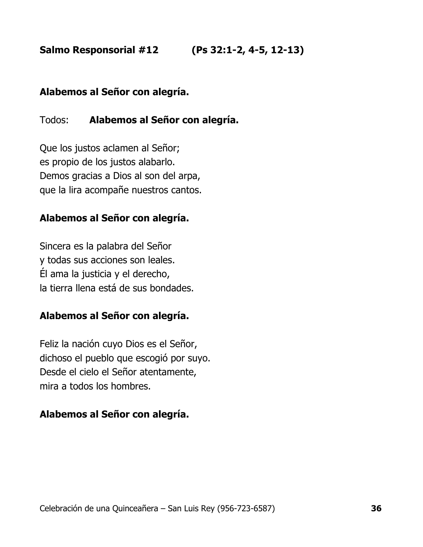**Salmo Responsorial #12 (Ps 32:1-2, 4-5, 12-13)**

#### **Alabemos al Señor con alegría.**

# Todos: **Alabemos al Señor con alegría.**

Que los justos aclamen al Señor; es propio de los justos alabarlo. Demos gracias a Dios al son del arpa, que la lira acompañe nuestros cantos.

# **Alabemos al Señor con alegría.**

Sincera es la palabra del Señor y todas sus acciones son leales. Él ama la justicia y el derecho, la tierra llena está de sus bondades.

#### **Alabemos al Señor con alegría.**

Feliz la nación cuyo Dios es el Señor, dichoso el pueblo que escogió por suyo. Desde el cielo el Señor atentamente, mira a todos los hombres.

# **Alabemos al Señor con alegría.**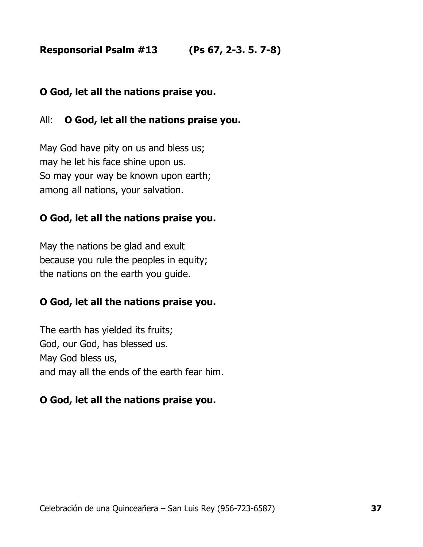**Responsorial Psalm #13 (Ps 67, 2-3. 5. 7-8)**

# **O God, let all the nations praise you.**

# All: **O God, let all the nations praise you.**

May God have pity on us and bless us; may he let his face shine upon us. So may your way be known upon earth; among all nations, your salvation.

# **O God, let all the nations praise you.**

May the nations be glad and exult because you rule the peoples in equity; the nations on the earth you guide.

# **O God, let all the nations praise you.**

The earth has yielded its fruits; God, our God, has blessed us. May God bless us, and may all the ends of the earth fear him.

# **O God, let all the nations praise you.**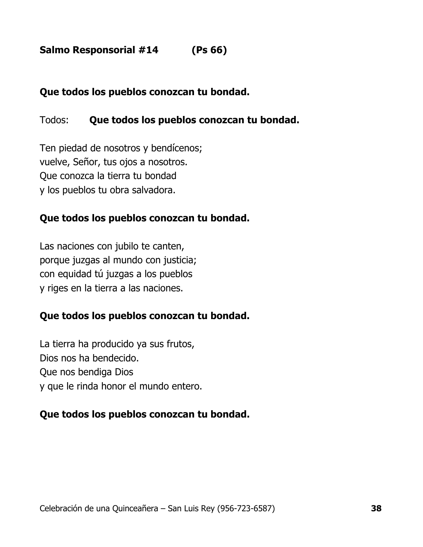# **Salmo Responsorial #14 (Ps 66)**

#### **Que todos los pueblos conozcan tu bondad.**

#### Todos: **Que todos los pueblos conozcan tu bondad.**

Ten piedad de nosotros y bendícenos; vuelve, Señor, tus ojos a nosotros. Que conozca la tierra tu bondad y los pueblos tu obra salvadora.

#### **Que todos los pueblos conozcan tu bondad.**

Las naciones con jubilo te canten, porque juzgas al mundo con justicia; con equidad tú juzgas a los pueblos y riges en la tierra a las naciones.

#### **Que todos los pueblos conozcan tu bondad.**

La tierra ha producido ya sus frutos, Dios nos ha bendecido. Que nos bendiga Dios y que le rinda honor el mundo entero.

#### **Que todos los pueblos conozcan tu bondad.**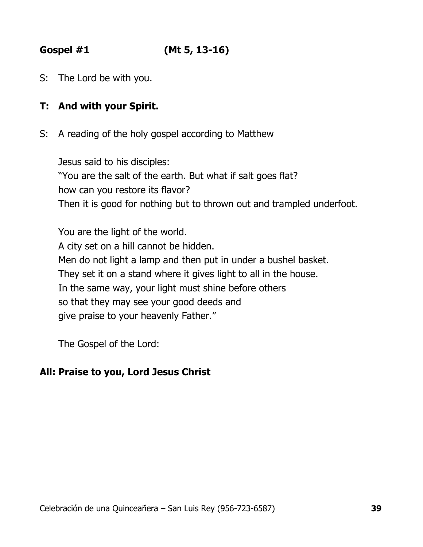# **Gospel #1 (Mt 5, 13-16)**

S: The Lord be with you.

# **T: And with your Spirit.**

S: A reading of the holy gospel according to Matthew

Jesus said to his disciples: "You are the salt of the earth. But what if salt goes flat? how can you restore its flavor? Then it is good for nothing but to thrown out and trampled underfoot.

You are the light of the world. A city set on a hill cannot be hidden. Men do not light a lamp and then put in under a bushel basket. They set it on a stand where it gives light to all in the house. In the same way, your light must shine before others so that they may see your good deeds and give praise to your heavenly Father."

The Gospel of the Lord:

# **All: Praise to you, Lord Jesus Christ**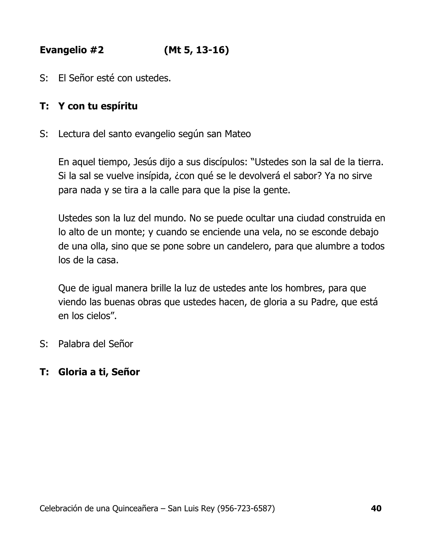**Evangelio #2 (Mt 5, 13-16)**

S: El Señor esté con ustedes.

# **T: Y con tu espíritu**

S: Lectura del santo evangelio según san Mateo

En aquel tiempo, Jesús dijo a sus discípulos: "Ustedes son la sal de la tierra. Si la sal se vuelve insípida, ¿con qué se le devolverá el sabor? Ya no sirve para nada y se tira a la calle para que la pise la gente.

Ustedes son la luz del mundo. No se puede ocultar una ciudad construida en lo alto de un monte; y cuando se enciende una vela, no se esconde debajo de una olla, sino que se pone sobre un candelero, para que alumbre a todos los de la casa.

Que de igual manera brille la luz de ustedes ante los hombres, para que viendo las buenas obras que ustedes hacen, de gloria a su Padre, que está en los cielos".

S: Palabra del Señor

#### **T: Gloria a ti, Señor**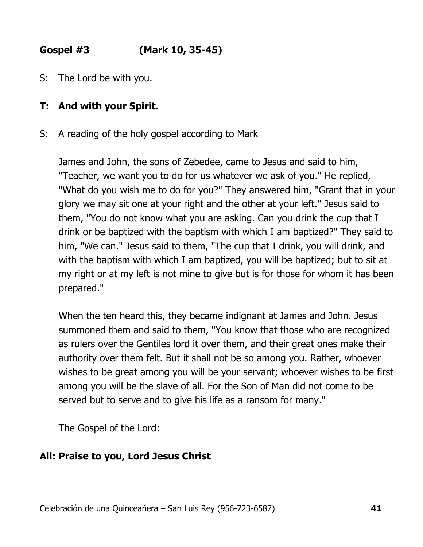# **Gospel #3 (Mark 10, 35-45)**

S: The Lord be with you.

# **T: And with your Spirit.**

S: A reading of the holy gospel according to Mark

James and John, the sons of Zebedee, came to Jesus and said to him, "Teacher, we want you to do for us whatever we ask of you." He replied, "What do you wish me to do for you?" They answered him, "Grant that in your glory we may sit one at your right and the other at your left." Jesus said to them, "You do not know what you are asking. Can you drink the cup that I drink or be baptized with the baptism with which I am baptized?" They said to him, "We can." Jesus said to them, "The cup that I drink, you will drink, and with the baptism with which I am baptized, you will be baptized; but to sit at my right or at my left is not mine to give but is for those for whom it has been prepared."

When the ten heard this, they became indignant at James and John. Jesus summoned them and said to them, "You know that those who are recognized as rulers over the Gentiles lord it over them, and their great ones make their authority over them felt. But it shall not be so among you. Rather, whoever wishes to be great among you will be your servant; whoever wishes to be first among you will be the slave of all. For the Son of Man did not come to be served but to serve and to give his life as a ransom for many."

The Gospel of the Lord:

# **All: Praise to you, Lord Jesus Christ**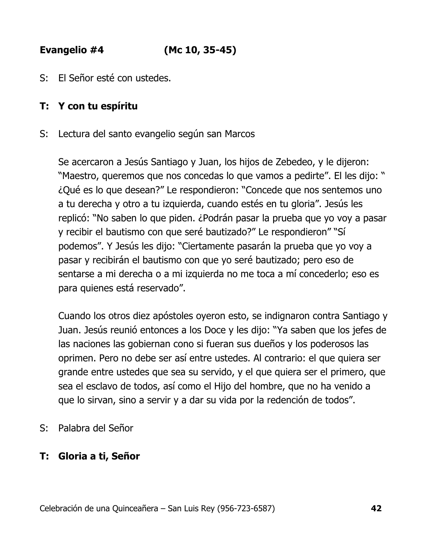**Evangelio #4 (Mc 10, 35-45)**

S: El Señor esté con ustedes.

# **T: Y con tu espíritu**

S: Lectura del santo evangelio según san Marcos

Se acercaron a Jesús Santiago y Juan, los hijos de Zebedeo, y le dijeron: "Maestro, queremos que nos concedas lo que vamos a pedirte". El les dijo: " ¿Qué es lo que desean?" Le respondieron: "Concede que nos sentemos uno a tu derecha y otro a tu izquierda, cuando estés en tu gloria". Jesús les replicó: "No saben lo que piden. ¿Podrán pasar la prueba que yo voy a pasar y recibir el bautismo con que seré bautizado?" Le respondieron" "Sí podemos". Y Jesús les dijo: "Ciertamente pasarán la prueba que yo voy a pasar y recibirán el bautismo con que yo seré bautizado; pero eso de sentarse a mi derecha o a mi izquierda no me toca a mí concederlo; eso es para quienes está reservado".

Cuando los otros diez apóstoles oyeron esto, se indignaron contra Santiago y Juan. Jesús reunió entonces a los Doce y les dijo: "Ya saben que los jefes de las naciones las gobiernan cono si fueran sus dueños y los poderosos las oprimen. Pero no debe ser así entre ustedes. Al contrario: el que quiera ser grande entre ustedes que sea su servido, y el que quiera ser el primero, que sea el esclavo de todos, así como el Hijo del hombre, que no ha venido a que lo sirvan, sino a servir y a dar su vida por la redención de todos".

S: Palabra del Señor

# **T: Gloria a ti, Señor**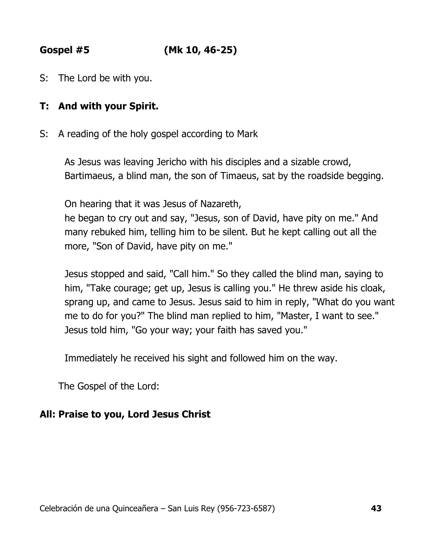**Gospel #5 (Mk 10, 46-25)**

S: The Lord be with you.

# **T: And with your Spirit.**

S: A reading of the holy gospel according to Mark

As Jesus was leaving Jericho with his disciples and a sizable crowd, Bartimaeus, a blind man, the son of Timaeus, sat by the roadside begging.

On hearing that it was Jesus of Nazareth,

he began to cry out and say, "Jesus, son of David, have pity on me." And many rebuked him, telling him to be silent. But he kept calling out all the more, "Son of David, have pity on me."

Jesus stopped and said, "Call him." So they called the blind man, saying to him, "Take courage; get up, Jesus is calling you." He threw aside his cloak, sprang up, and came to Jesus. Jesus said to him in reply, "What do you want me to do for you?" The blind man replied to him, "Master, I want to see." Jesus told him, "Go your way; your faith has saved you."

Immediately he received his sight and followed him on the way.

The Gospel of the Lord:

# **All: Praise to you, Lord Jesus Christ**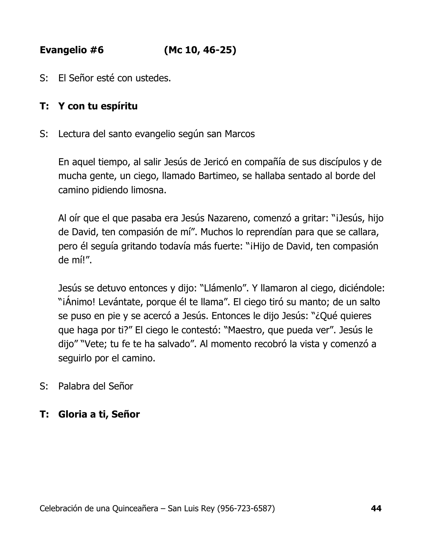**Evangelio #6 (Mc 10, 46-25)**

S: El Señor esté con ustedes.

# **T: Y con tu espíritu**

S: Lectura del santo evangelio según san Marcos

En aquel tiempo, al salir Jesús de Jericó en compañía de sus discípulos y de mucha gente, un ciego, llamado Bartimeo, se hallaba sentado al borde del camino pidiendo limosna.

Al oír que el que pasaba era Jesús Nazareno, comenzó a gritar: "¡Jesús, hijo de David, ten compasión de mí". Muchos lo reprendían para que se callara, pero él seguía gritando todavía más fuerte: "¡Hijo de David, ten compasión de mí!".

Jesús se detuvo entonces y dijo: "Llámenlo". Y llamaron al ciego, diciéndole: "¡Ánimo! Levántate, porque él te llama". El ciego tiró su manto; de un salto se puso en pie y se acercó a Jesús. Entonces le dijo Jesús: "¿Qué quieres que haga por ti?" El ciego le contestó: "Maestro, que pueda ver". Jesús le dijo" "Vete; tu fe te ha salvado". Al momento recobró la vista y comenzó a seguirlo por el camino.

S: Palabra del Señor

#### **T: Gloria a ti, Señor**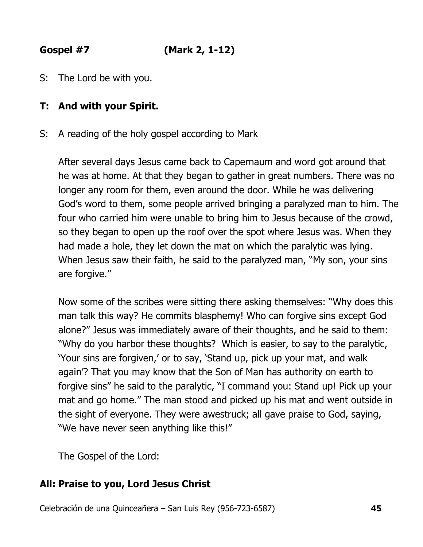**Gospel #7 (Mark 2, 1-12)**

S: The Lord be with you.

# **T: And with your Spirit.**

S: A reading of the holy gospel according to Mark

After several days Jesus came back to Capernaum and word got around that he was at home. At that they began to gather in great numbers. There was no longer any room for them, even around the door. While he was delivering God's word to them, some people arrived bringing a paralyzed man to him. The four who carried him were unable to bring him to Jesus because of the crowd, so they began to open up the roof over the spot where Jesus was. When they had made a hole, they let down the mat on which the paralytic was lying. When Jesus saw their faith, he said to the paralyzed man, "My son, your sins are forgive."

Now some of the scribes were sitting there asking themselves: "Why does this man talk this way? He commits blasphemy! Who can forgive sins except God alone?" Jesus was immediately aware of their thoughts, and he said to them: "Why do you harbor these thoughts? Which is easier, to say to the paralytic, 'Your sins are forgiven,' or to say, 'Stand up, pick up your mat, and walk again'? That you may know that the Son of Man has authority on earth to forgive sins" he said to the paralytic, "I command you: Stand up! Pick up your mat and go home." The man stood and picked up his mat and went outside in the sight of everyone. They were awestruck; all gave praise to God, saying, "We have never seen anything like this!"

The Gospel of the Lord:

# **All: Praise to you, Lord Jesus Christ**

Celebración de una Quinceañera – San Luis Rey (956-723-6587) **45**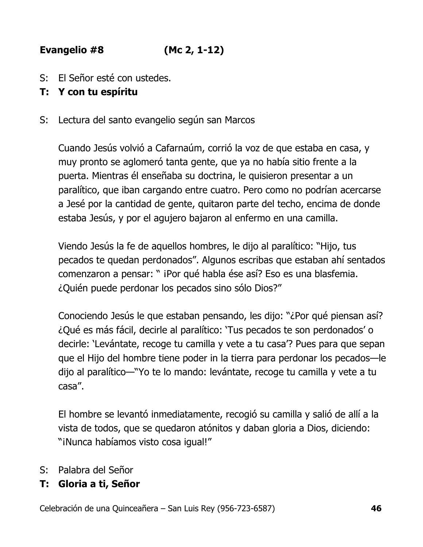# **Evangelio #8 (Mc 2, 1-12)**

S: El Señor esté con ustedes.

# **T: Y con tu espíritu**

S: Lectura del santo evangelio según san Marcos

Cuando Jesús volvió a Cafarnaúm, corrió la voz de que estaba en casa, y muy pronto se aglomeró tanta gente, que ya no había sitio frente a la puerta. Mientras él enseñaba su doctrina, le quisieron presentar a un paralítico, que iban cargando entre cuatro. Pero como no podrían acercarse a Jesé por la cantidad de gente, quitaron parte del techo, encima de donde estaba Jesús, y por el agujero bajaron al enfermo en una camilla.

Viendo Jesús la fe de aquellos hombres, le dijo al paralítico: "Hijo, tus pecados te quedan perdonados". Algunos escribas que estaban ahí sentados comenzaron a pensar: " iPor qué habla ése así? Eso es una blasfemia. ¿Quién puede perdonar los pecados sino sólo Dios?"

Conociendo Jesús le que estaban pensando, les dijo: "¿Por qué piensan así? ¿Qué es más fácil, decirle al paralítico: 'Tus pecados te son perdonados' o decirle: 'Levántate, recoge tu camilla y vete a tu casa'? Pues para que sepan que el Hijo del hombre tiene poder in la tierra para perdonar los pecados—le dijo al paralítico—"Yo te lo mando: levántate, recoge tu camilla y vete a tu casa".

El hombre se levantó inmediatamente, recogió su camilla y salió de allí a la vista de todos, que se quedaron atónitos y daban gloria a Dios, diciendo: "¡Nunca habíamos visto cosa igual!"

- S: Palabra del Señor
- **T: Gloria a ti, Señor**

Celebración de una Quinceañera – San Luis Rey (956-723-6587) **46**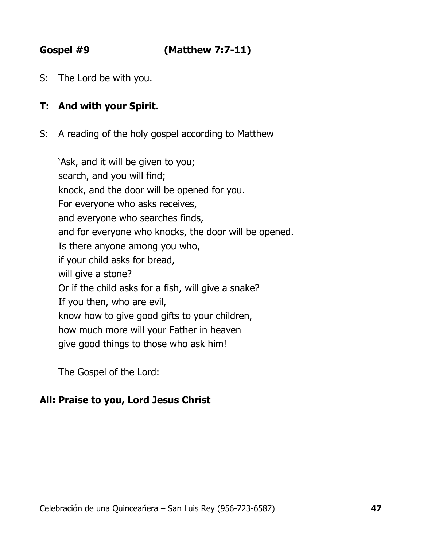# **Gospel #9 (Matthew 7:7-11)**

S: The Lord be with you.

# **T: And with your Spirit.**

S: A reading of the holy gospel according to Matthew

'Ask, and it will be given to you; search, and you will find; knock, and the door will be opened for you. For everyone who asks receives, and everyone who searches finds, and for everyone who knocks, the door will be opened. Is there anyone among you who, if your child asks for bread, will give a stone? Or if the child asks for a fish, will give a snake? If you then, who are evil, know how to give good gifts to your children, how much more will your Father in heaven give good things to those who ask him!

The Gospel of the Lord:

# **All: Praise to you, Lord Jesus Christ**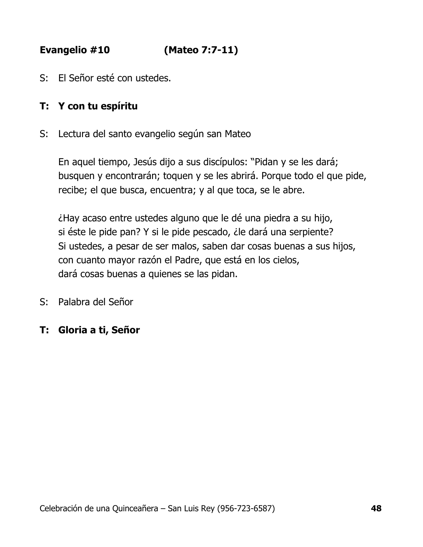**Evangelio #10 (Mateo 7:7-11)**

S: El Señor esté con ustedes.

# **T: Y con tu espíritu**

S: Lectura del santo evangelio según san Mateo

En aquel tiempo, Jesús dijo a sus discípulos: "Pidan y se les dará; busquen y encontrarán; toquen y se les abrirá. Porque todo el que pide, recibe; el que busca, encuentra; y al que toca, se le abre.

¿Hay acaso entre ustedes alguno que le dé una piedra a su hijo, si éste le pide pan? Y si le pide pescado, ¿le dará una serpiente? Si ustedes, a pesar de ser malos, saben dar cosas buenas a sus hijos, con cuanto mayor razón el Padre, que está en los cielos, dará cosas buenas a quienes se las pidan.

S: Palabra del Señor

# **T: Gloria a ti, Señor**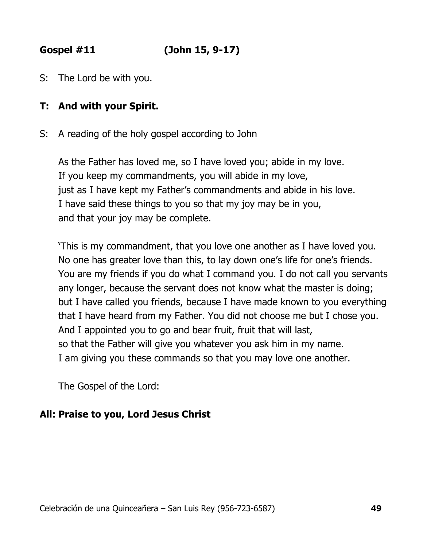**Gospel #11 (John 15, 9-17)**

S: The Lord be with you.

# **T: And with your Spirit.**

S: A reading of the holy gospel according to John

As the Father has loved me, so I have loved you; abide in my love. If you keep my commandments, you will abide in my love, just as I have kept my Father's commandments and abide in his love. I have said these things to you so that my joy may be in you, and that your joy may be complete.

'This is my commandment, that you love one another as I have loved you. No one has greater love than this, to lay down one's life for one's friends. You are my friends if you do what I command you. I do not call you servants any longer, because the servant does not know what the master is doing; but I have called you friends, because I have made known to you everything that I have heard from my Father. You did not choose me but I chose you. And I appointed you to go and bear fruit, fruit that will last, so that the Father will give you whatever you ask him in my name. I am giving you these commands so that you may love one another.

The Gospel of the Lord:

# **All: Praise to you, Lord Jesus Christ**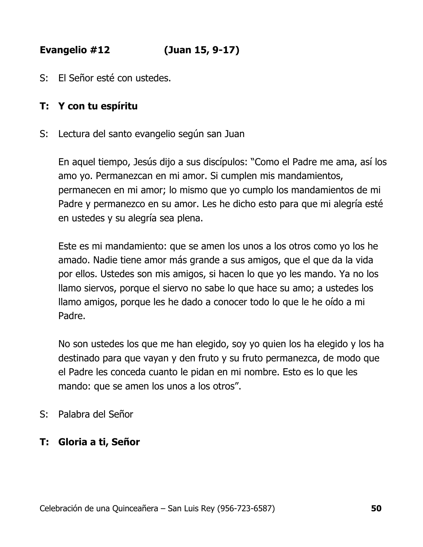**Evangelio #12 (Juan 15, 9-17)**

S: El Señor esté con ustedes.

# **T: Y con tu espíritu**

S: Lectura del santo evangelio según san Juan

En aquel tiempo, Jesús dijo a sus discípulos: "Como el Padre me ama, así los amo yo. Permanezcan en mi amor. Si cumplen mis mandamientos, permanecen en mi amor; lo mismo que yo cumplo los mandamientos de mi Padre y permanezco en su amor. Les he dicho esto para que mi alegría esté en ustedes y su alegría sea plena.

Este es mi mandamiento: que se amen los unos a los otros como yo los he amado. Nadie tiene amor más grande a sus amigos, que el que da la vida por ellos. Ustedes son mis amigos, si hacen lo que yo les mando. Ya no los llamo siervos, porque el siervo no sabe lo que hace su amo; a ustedes los llamo amigos, porque les he dado a conocer todo lo que le he oído a mi Padre.

No son ustedes los que me han elegido, soy yo quien los ha elegido y los ha destinado para que vayan y den fruto y su fruto permanezca, de modo que el Padre les conceda cuanto le pidan en mi nombre. Esto es lo que les mando: que se amen los unos a los otros".

S: Palabra del Señor

# **T: Gloria a ti, Señor**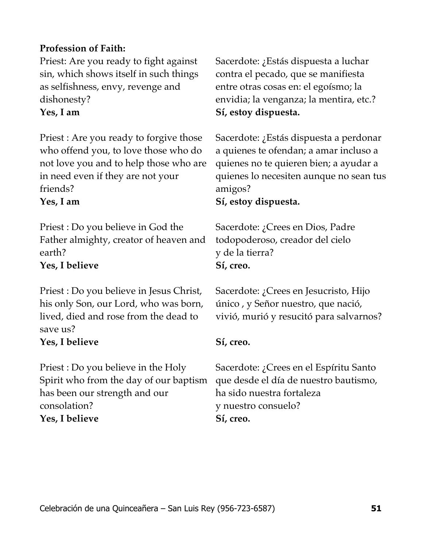# **Profession of Faith:**

Priest: Are you ready to fight against sin, which shows itself in such things as selfishness, envy, revenge and dishonesty?

Priest : Are you ready to forgive those who offend you, to love those who do not love you and to help those who are in need even if they are not your friends?

Priest : Do you believe in God the Father almighty, creator of heaven and earth?

# **Yes, I believe Sí, creo.**

Priest : Do you believe in Jesus Christ, his only Son, our Lord, who was born, lived, died and rose from the dead to save us?

# **Yes, I believe Sí, creo.**

Priest : Do you believe in the Holy Spirit who from the day of our baptism has been our strength and our consolation? **Yes, I believe Sí, creo.**

Sacerdote: ¿Estás dispuesta a luchar contra el pecado, que se manifiesta entre otras cosas en: el egoísmo; la envidia; la venganza; la mentira, etc.? **Yes, I am Sí, estoy dispuesta.**

> Sacerdote: ¿Estás dispuesta a perdonar a quienes te ofendan; a amar incluso a quienes no te quieren bien; a ayudar a quienes lo necesiten aunque no sean tus amigos?

#### **Yes, I am Sí, estoy dispuesta.**

Sacerdote: ¿Crees en Dios, Padre todopoderoso, creador del cielo y de la tierra?

Sacerdote: ¿Crees en Jesucristo, Hijo único , y Señor nuestro, que nació, vivió, murió y resucitó para salvarnos?

Sacerdote: ¿Crees en el Espíritu Santo que desde el día de nuestro bautismo, ha sido nuestra fortaleza y nuestro consuelo?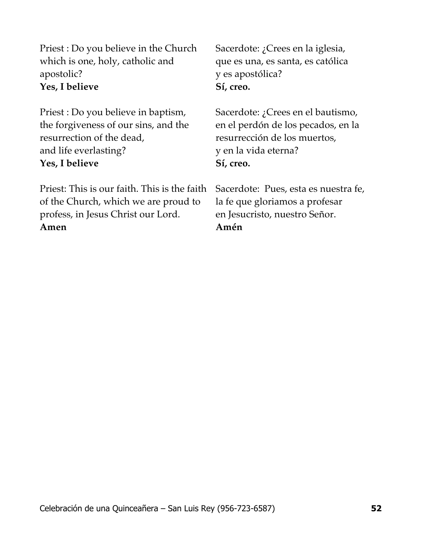Priest : Do you believe in the Church which is one, holy, catholic and apostolic? **Yes, I believe Sí, creo.**

Priest : Do you believe in baptism, the forgiveness of our sins, and the resurrection of the dead, and life everlasting? **Yes, I believe Sí, creo.**

Priest: This is our faith. This is the faith of the Church, which we are proud to profess, in Jesus Christ our Lord. **Amen Amén**

Sacerdote: ¿Crees en la iglesia, que es una, es santa, es católica y es apostólica?

Sacerdote: ¿Crees en el bautismo, en el perdón de los pecados, en la resurrección de los muertos, y en la vida eterna?

Sacerdote: Pues, esta es nuestra fe, la fe que gloriamos a profesar en Jesucristo, nuestro Señor.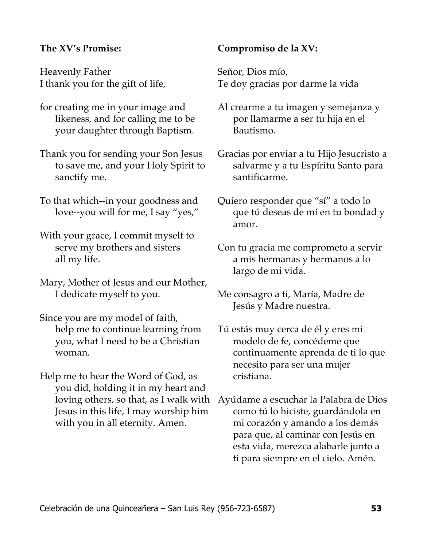#### **The XV's Promise:**

Heavenly Father I thank you for the gift of life,

- for creating me in your image and likeness, and for calling me to be your daughter through Baptism.
- Thank you for sending your Son Jesus to save me, and your Holy Spirit to sanctify me.
- To that which--in your goodness and love--you will for me, I say "yes,"
- With your grace, I commit myself to serve my brothers and sisters all my life.
- Mary, Mother of Jesus and our Mother, I dedicate myself to you.
- Since you are my model of faith, help me to continue learning from you, what I need to be a Christian woman.
- Help me to hear the Word of God, as you did, holding it in my heart and loving others, so that, as I walk with Jesus in this life, I may worship him with you in all eternity. Amen.

#### **Compromiso de la XV:**

Señor, Dios mío, Te doy gracias por darme la vida

- Al crearme a tu imagen y semejanza y por llamarme a ser tu hija en el Bautismo.
- Gracias por enviar a tu Hijo Jesucristo a salvarme y a tu Espíritu Santo para santificarme.
- Quiero responder que "sí" a todo lo que tú deseas de mí en tu bondad y amor.
- Con tu gracia me comprometo a servir a mis hermanas y hermanos a lo largo de mi vida.
- Me consagro a ti, María, Madre de Jesús y Madre nuestra.
- Tú estás muy cerca de él y eres mi modelo de fe, concédeme que continuamente aprenda de ti lo que necesito para ser una mujer cristiana.
- Ayúdame a escuchar la Palabra de Dios como tú lo hiciste, guardándola en mi corazón y amando a los demás para que, al caminar con Jesús en esta vida, merezca alabarle junto a ti para siempre en el cielo. Amén.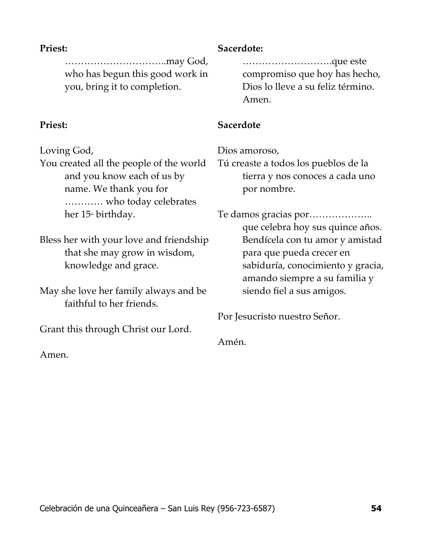#### **Priest:**

…………………………..may God, who has begun this good work in you, bring it to completion.

# **Priest:**

Loving God,

You created all the people of the world and you know each of us by name. We thank you for ………… who today celebrates her  $15<sup>th</sup>$  birthday.

Bless her with your love and friendship that she may grow in wisdom, knowledge and grace.

May she love her family always and be faithful to her friends.

Grant this through Christ our Lord.

Amen.

#### **Sacerdote:**

……………………….que este compromiso que hoy has hecho, Dios lo lleve a su feliz término. Amen.

# **Sacerdote**

Dios amoroso,

Tú creaste a todos los pueblos de la tierra y nos conoces a cada uno por nombre.

Te damos gracias por……………….. que celebra hoy sus quince años. Bendícela con tu amor y amistad para que pueda crecer en sabiduría, conocimiento y gracia, amando siempre a su familia y siendo fiel a sus amigos.

Por Jesucristo nuestro Señor.

Amén.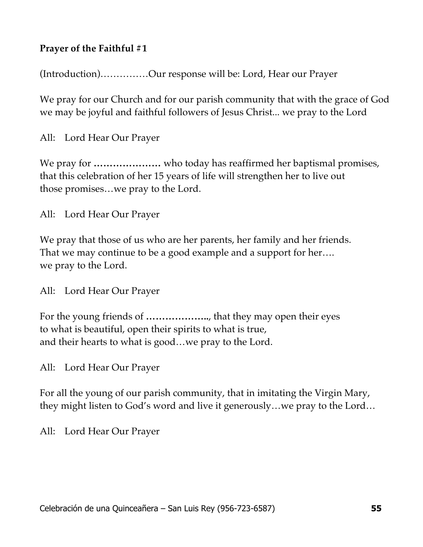# **Prayer of the Faithful #1**

(Introduction)……………Our response will be: Lord, Hear our Prayer

We pray for our Church and for our parish community that with the grace of God we may be joyful and faithful followers of Jesus Christ... we pray to the Lord

All: Lord Hear Our Prayer

We pray for **…………………** who today has reaffirmed her baptismal promises, that this celebration of her 15 years of life will strengthen her to live out those promises…we pray to the Lord.

All: Lord Hear Our Prayer

We pray that those of us who are her parents, her family and her friends. That we may continue to be a good example and a support for her…. we pray to the Lord.

All: Lord Hear Our Prayer

For the young friends of **………………..**, that they may open their eyes to what is beautiful, open their spirits to what is true, and their hearts to what is good…we pray to the Lord.

All: Lord Hear Our Prayer

For all the young of our parish community, that in imitating the Virgin Mary, they might listen to God's word and live it generously…we pray to the Lord…

All: Lord Hear Our Prayer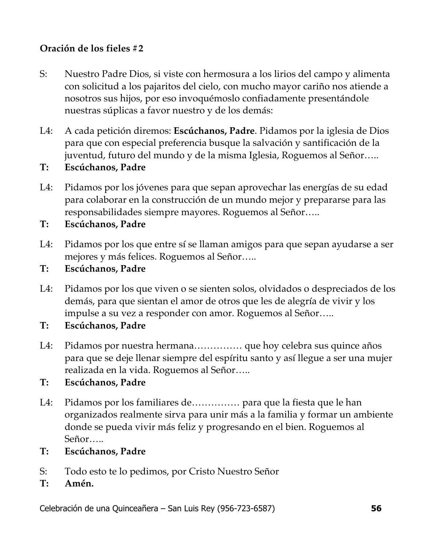# **Oración de los fieles #2**

- S: Nuestro Padre Dios, si viste con hermosura a los lirios del campo y alimenta con solicitud a los pajaritos del cielo, con mucho mayor cariño nos atiende a nosotros sus hijos, por eso invoquémoslo confiadamente presentándole nuestras súplicas a favor nuestro y de los demás:
- L4: A cada petición diremos: **Escúchanos, Padre**. Pidamos por la iglesia de Dios para que con especial preferencia busque la salvación y santificación de la juventud, futuro del mundo y de la misma Iglesia, Roguemos al Señor…..
- **T: Escúchanos, Padre**
- L4: Pidamos por los jóvenes para que sepan aprovechar las energías de su edad para colaborar en la construcción de un mundo mejor y prepararse para las responsabilidades siempre mayores. Roguemos al Señor…..
- **T: Escúchanos, Padre**
- L4: Pidamos por los que entre sí se llaman amigos para que sepan ayudarse a ser mejores y más felices. Roguemos al Señor…..
- **T: Escúchanos, Padre**
- L4: Pidamos por los que viven o se sienten solos, olvidados o despreciados de los demás, para que sientan el amor de otros que les de alegría de vivir y los impulse a su vez a responder con amor. Roguemos al Señor…..
- **T: Escúchanos, Padre**
- L4: Pidamos por nuestra hermana…………… que hoy celebra sus quince años para que se deje llenar siempre del espíritu santo y así llegue a ser una mujer realizada en la vida. Roguemos al Señor…..
- **T: Escúchanos, Padre**
- L4: Pidamos por los familiares de…………… para que la fiesta que le han organizados realmente sirva para unir más a la familia y formar un ambiente donde se pueda vivir más feliz y progresando en el bien. Roguemos al Señor…..
- **T: Escúchanos, Padre**
- S: Todo esto te lo pedimos, por Cristo Nuestro Señor
- **T: Amén.**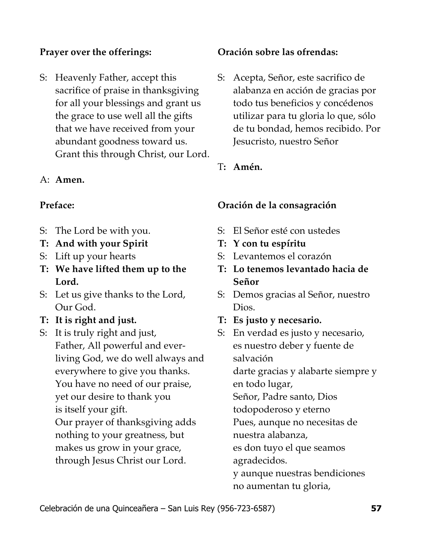# **Prayer over the offerings:**

S: Heavenly Father, accept this sacrifice of praise in thanksgiving for all your blessings and grant us the grace to use well all the gifts that we have received from your abundant goodness toward us. Grant this through Christ, our Lord.

#### A: **Amen.**

#### **Preface:**

- S: The Lord be with you.
- **T: And with your Spirit**
- S: Lift up your hearts
- **T: We have lifted them up to the Lord.**
- S: Let us give thanks to the Lord, Our God.
- **T: It is right and just.**
- S: It is truly right and just, Father, All powerful and everliving God, we do well always and everywhere to give you thanks. You have no need of our praise, yet our desire to thank you is itself your gift. Our prayer of thanksgiving adds

nothing to your greatness, but makes us grow in your grace, through Jesus Christ our Lord.

#### **Oración sobre las ofrendas:**

S: Acepta, Señor, este sacrifico de alabanza en acción de gracias por todo tus beneficios y concédenos utilizar para tu gloria lo que, sólo de tu bondad, hemos recibido. Por Jesucristo, nuestro Señor

#### T**: Amén.**

#### **Oración de la consagración**

- S: El Señor esté con ustedes
- **T: Y con tu espíritu**
- S: Levantemos el corazón
- **T: Lo tenemos levantado hacia de Señor**
- S: Demos gracias al Señor, nuestro Dios.
- **T: Es justo y necesario.**
- S: En verdad es justo y necesario, es nuestro deber y fuente de salvación darte gracias y alabarte siempre y en todo lugar, Señor, Padre santo, Dios todopoderoso y eterno Pues, aunque no necesitas de nuestra alabanza, es don tuyo el que seamos agradecidos. y aunque nuestras bendiciones no aumentan tu gloria,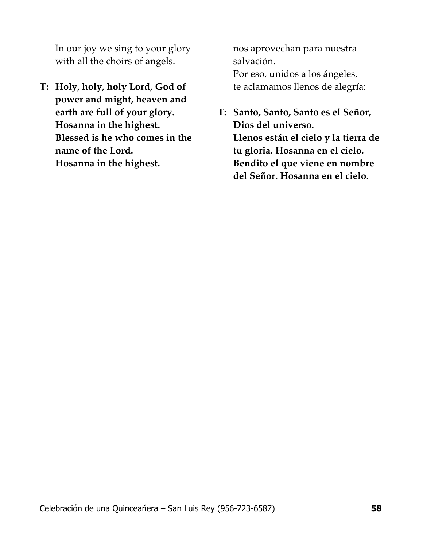In our joy we sing to your glory with all the choirs of angels.

**T: Holy, holy, holy Lord, God of power and might, heaven and earth are full of your glory. Hosanna in the highest. Blessed is he who comes in the name of the Lord. Hosanna in the highest.** 

nos aprovechan para nuestra salvación.

Por eso, unidos a los ángeles, te aclamamos llenos de alegría:

**T: Santo, Santo, Santo es el Señor, Dios del universo. Llenos están el cielo y la tierra de tu gloria. Hosanna en el cielo. Bendito el que viene en nombre del Señor. Hosanna en el cielo.**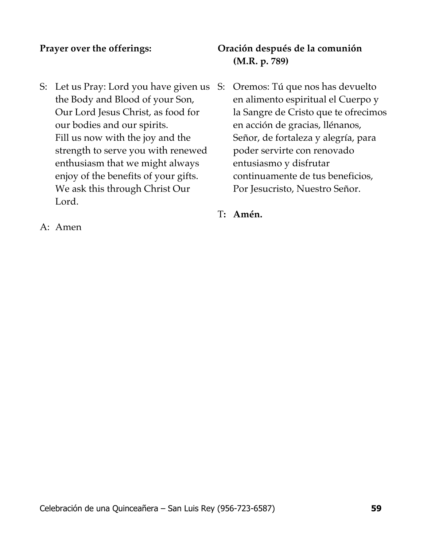#### **Prayer over the offerings:**

S: Let us Pray: Lord you have given us S: Oremos: Tú que nos has devuelto the Body and Blood of your Son, Our Lord Jesus Christ, as food for our bodies and our spirits. Fill us now with the joy and the strength to serve you with renewed enthusiasm that we might always enjoy of the benefits of your gifts. We ask this through Christ Our Lord.

# **Oración después de la comunión (M.R. p. 789)**

en alimento espiritual el Cuerpo y la Sangre de Cristo que te ofrecimos en acción de gracias, llénanos, Señor, de fortaleza y alegría, para poder servirte con renovado entusiasmo y disfrutar continuamente de tus beneficios, Por Jesucristo, Nuestro Señor.

T**: Amén.**

A: Amen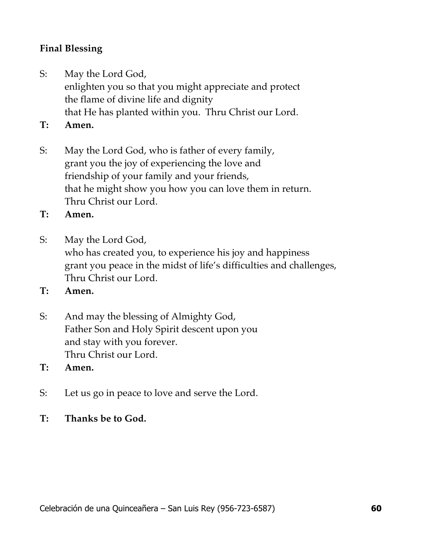# **Final Blessing**

- S: May the Lord God, enlighten you so that you might appreciate and protect the flame of divine life and dignity that He has planted within you. Thru Christ our Lord.
- **T: Amen.**
- S: May the Lord God, who is father of every family, grant you the joy of experiencing the love and friendship of your family and your friends, that he might show you how you can love them in return. Thru Christ our Lord.
- **T: Amen.**
- S: May the Lord God, who has created you, to experience his joy and happiness grant you peace in the midst of life's difficulties and challenges, Thru Christ our Lord.
- **T: Amen.**
- S: And may the blessing of Almighty God, Father Son and Holy Spirit descent upon you and stay with you forever. Thru Christ our Lord.
- **T: Amen.**
- S: Let us go in peace to love and serve the Lord.
- **T: Thanks be to God.**